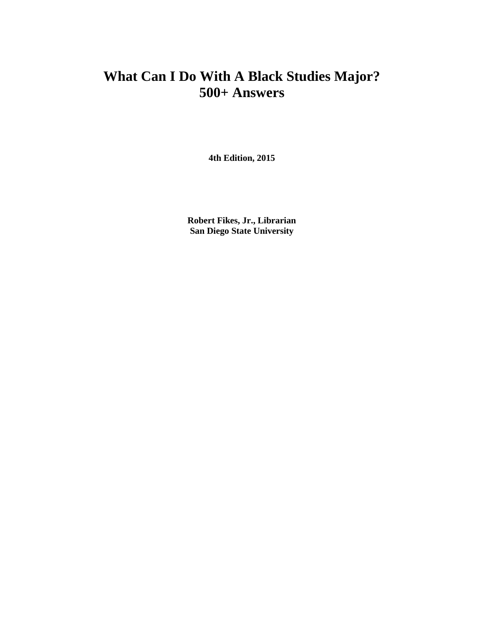#### **What Can I Do With A Black Studies Major? 500+ Answers**

**4th Edition, 2015**

**Robert Fikes, Jr., Librarian San Diego State University**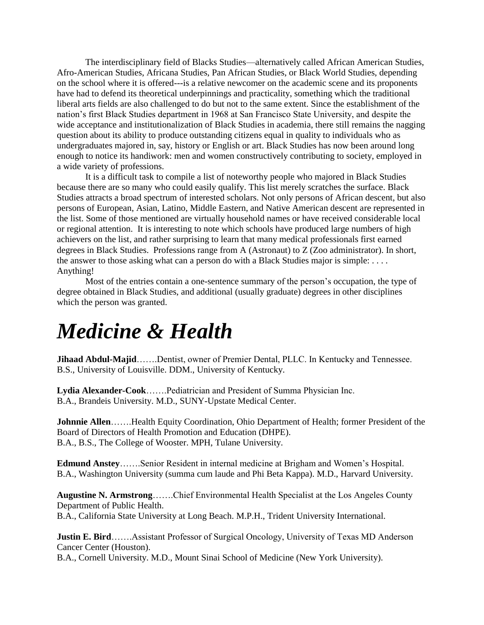The interdisciplinary field of Blacks Studies—alternatively called African American Studies, Afro-American Studies, Africana Studies, Pan African Studies, or Black World Studies, depending on the school where it is offered---is a relative newcomer on the academic scene and its proponents have had to defend its theoretical underpinnings and practicality, something which the traditional liberal arts fields are also challenged to do but not to the same extent. Since the establishment of the nation's first Black Studies department in 1968 at San Francisco State University, and despite the wide acceptance and institutionalization of Black Studies in academia, there still remains the nagging question about its ability to produce outstanding citizens equal in quality to individuals who as undergraduates majored in, say, history or English or art. Black Studies has now been around long enough to notice its handiwork: men and women constructively contributing to society, employed in a wide variety of professions.

It is a difficult task to compile a list of noteworthy people who majored in Black Studies because there are so many who could easily qualify. This list merely scratches the surface. Black Studies attracts a broad spectrum of interested scholars. Not only persons of African descent, but also persons of European, Asian, Latino, Middle Eastern, and Native American descent are represented in the list. Some of those mentioned are virtually household names or have received considerable local or regional attention. It is interesting to note which schools have produced large numbers of high achievers on the list, and rather surprising to learn that many medical professionals first earned degrees in Black Studies. Professions range from A (Astronaut) to Z (Zoo administrator). In short, the answer to those asking what can a person do with a Black Studies major is simple: . . . . Anything!

Most of the entries contain a one-sentence summary of the person's occupation, the type of degree obtained in Black Studies, and additional (usually graduate) degrees in other disciplines which the person was granted.

#### *Medicine & Health*

**Jihaad Abdul-Majid**…….Dentist, owner of Premier Dental, PLLC. In Kentucky and Tennessee. B.S., University of Louisville. DDM., University of Kentucky.

**Lydia Alexander-Cook**…….Pediatrician and President of Summa Physician Inc. B.A., Brandeis University. M.D., SUNY-Upstate Medical Center.

**Johnnie Allen**…….Health Equity Coordination, Ohio Department of Health; former President of the Board of Directors of Health Promotion and Education (DHPE). B.A., B.S., The College of Wooster. MPH, Tulane University.

**Edmund Anstey**…….Senior Resident in internal medicine at Brigham and Women's Hospital. B.A., Washington University (summa cum laude and Phi Beta Kappa). M.D., Harvard University.

**Augustine N. Armstrong**…….Chief Environmental Health Specialist at the Los Angeles County Department of Public Health. B.A., California State University at Long Beach. M.P.H., Trident University International.

**Justin E. Bird**…….Assistant Professor of Surgical Oncology, University of Texas MD Anderson Cancer Center (Houston).

B.A., Cornell University. M.D., Mount Sinai School of Medicine (New York University).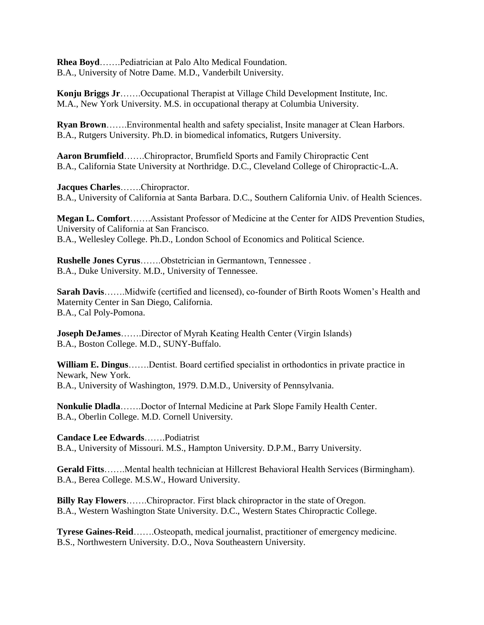**Rhea Boyd**…….Pediatrician at Palo Alto Medical Foundation. B.A., University of Notre Dame. M.D., Vanderbilt University.

**Konju Briggs Jr**…….Occupational Therapist at Village Child Development Institute, Inc. M.A., New York University. M.S. in occupational therapy at Columbia University.

**Ryan Brown**…….Environmental health and safety specialist, Insite manager at Clean Harbors. B.A., Rutgers University. Ph.D. in biomedical infomatics, Rutgers University.

**Aaron Brumfield**…….Chiropractor, Brumfield Sports and Family Chiropractic Cent B.A., California State University at Northridge. D.C., Cleveland College of Chiropractic-L.A.

**Jacques Charles**…….Chiropractor. B.A., University of California at Santa Barbara. D.C., Southern California Univ. of Health Sciences.

**Megan L. Comfort**…….Assistant Professor of Medicine at the Center for AIDS Prevention Studies, University of California at San Francisco. B.A., Wellesley College. Ph.D., London School of Economics and Political Science.

**Rushelle Jones Cyrus**…….Obstetrician in Germantown, Tennessee . B.A., Duke University. M.D., University of Tennessee.

**Sarah Davis**…….Midwife (certified and licensed), co-founder of Birth Roots Women's Health and Maternity Center in San Diego, California. B.A., Cal Poly-Pomona.

**Joseph DeJames**…….Director of Myrah Keating Health Center (Virgin Islands) B.A., Boston College. M.D., SUNY-Buffalo.

**William E. Dingus**…….Dentist. Board certified specialist in orthodontics in private practice in Newark, New York. B.A., University of Washington, 1979. D.M.D., University of Pennsylvania.

**Nonkulie Dladla**…….Doctor of Internal Medicine at Park Slope Family Health Center. B.A., Oberlin College. M.D. Cornell University.

**Candace Lee Edwards**…….Podiatrist B.A., University of Missouri. M.S., Hampton University. D.P.M., Barry University.

**Gerald Fitts**…….Mental health technician at Hillcrest Behavioral Health Services (Birmingham). B.A., Berea College. M.S.W., Howard University.

**Billy Ray Flowers**…….Chiropractor. First black chiropractor in the state of Oregon. B.A., Western Washington State University. D.C., Western States Chiropractic College.

**Tyrese Gaines-Reid**…….Osteopath, medical journalist, practitioner of emergency medicine. B.S., Northwestern University. D.O., Nova Southeastern University.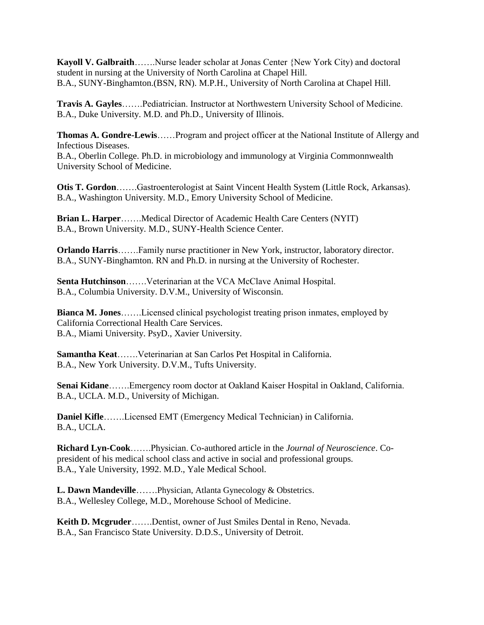**Kayoll V. Galbraith**…….Nurse leader scholar at Jonas Center {New York City) and doctoral student in nursing at the University of North Carolina at Chapel Hill. B.A., SUNY-Binghamton.(BSN, RN). M.P.H., University of North Carolina at Chapel Hill.

**Travis A. Gayles**…….Pediatrician. Instructor at Northwestern University School of Medicine. B.A., Duke University. M.D. and Ph.D., University of Illinois.

**Thomas A. Gondre-Lewis**……Program and project officer at the National Institute of Allergy and Infectious Diseases.

B.A., Oberlin College. Ph.D. in microbiology and immunology at Virginia Commonnwealth University School of Medicine.

**Otis T. Gordon**…….Gastroenterologist at Saint Vincent Health System (Little Rock, Arkansas). B.A., Washington University. M.D., Emory University School of Medicine.

**Brian L. Harper**…….Medical Director of Academic Health Care Centers (NYIT) B.A., Brown University. M.D., SUNY-Health Science Center.

**Orlando Harris**…….Family nurse practitioner in New York, instructor, laboratory director. B.A., SUNY-Binghamton. RN and Ph.D. in nursing at the University of Rochester.

**Senta Hutchinson**…….Veterinarian at the VCA McClave Animal Hospital. B.A., Columbia University. D.V.M., University of Wisconsin.

**Bianca M. Jones**…….Licensed clinical psychologist treating prison inmates, employed by California Correctional Health Care Services. B.A., Miami University. PsyD., Xavier University.

**Samantha Keat**…….Veterinarian at San Carlos Pet Hospital in California. B.A., New York University. D.V.M., Tufts University.

**Senai Kidane**…….Emergency room doctor at Oakland Kaiser Hospital in Oakland, California. B.A., UCLA. M.D., University of Michigan.

**Daniel Kifle**…….Licensed EMT (Emergency Medical Technician) in California. B.A., UCLA.

**Richard Lyn-Cook**…….Physician. Co-authored article in the *Journal of Neuroscience*. Copresident of his medical school class and active in social and professional groups. B.A., Yale University, 1992. M.D., Yale Medical School.

**L. Dawn Mandeville**…….Physician, Atlanta Gynecology & Obstetrics. B.A., Wellesley College, M.D., Morehouse School of Medicine.

**Keith D. Mcgruder**…….Dentist, owner of Just Smiles Dental in Reno, Nevada. B.A., San Francisco State University. D.D.S., University of Detroit.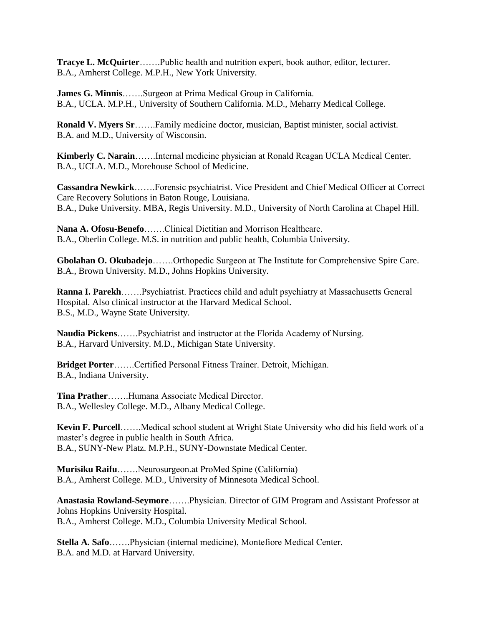**Tracye L. McQuirter**…….Public health and nutrition expert, book author, editor, lecturer. B.A., Amherst College. M.P.H., New York University.

**James G. Minnis**…….Surgeon at Prima Medical Group in California. B.A., UCLA. M.P.H., University of Southern California. M.D., Meharry Medical College.

**Ronald V. Myers Sr**…….Family medicine doctor, musician, Baptist minister, social activist. B.A. and M.D., University of Wisconsin.

**Kimberly C. Narain**…….Internal medicine physician at Ronald Reagan UCLA Medical Center. B.A., UCLA. M.D., Morehouse School of Medicine.

**Cassandra Newkirk**…….Forensic psychiatrist. Vice President and Chief Medical Officer at Correct Care Recovery Solutions in Baton Rouge, Louisiana. B.A., Duke University. MBA, Regis University. M.D., University of North Carolina at Chapel Hill.

**Nana A. Ofosu-Benefo**…….Clinical Dietitian and Morrison Healthcare. B.A., Oberlin College. M.S. in nutrition and public health, Columbia University.

**Gbolahan O. Okubadejo**…….Orthopedic Surgeon at The Institute for Comprehensive Spire Care. B.A., Brown University. M.D., Johns Hopkins University.

**Ranna I. Parekh**…….Psychiatrist. Practices child and adult psychiatry at Massachusetts General Hospital. Also clinical instructor at the Harvard Medical School. B.S., M.D., Wayne State University.

**Naudia Pickens**…….Psychiatrist and instructor at the Florida Academy of Nursing. B.A., Harvard University. M.D., Michigan State University.

**Bridget Porter**…….Certified Personal Fitness Trainer. Detroit, Michigan. B.A., Indiana University.

**Tina Prather**…….Humana Associate Medical Director. B.A., Wellesley College. M.D., Albany Medical College.

**Kevin F. Purcell**…….Medical school student at Wright State University who did his field work of a master's degree in public health in South Africa. B.A., SUNY-New Platz. M.P.H., SUNY-Downstate Medical Center.

**Murisiku Raifu**…….Neurosurgeon.at ProMed Spine (California) B.A., Amherst College. M.D., University of Minnesota Medical School.

**Anastasia Rowland-Seymore**…….Physician. Director of GIM Program and Assistant Professor at Johns Hopkins University Hospital. B.A., Amherst College. M.D., Columbia University Medical School.

**Stella A. Safo**…….Physician (internal medicine), Montefiore Medical Center. B.A. and M.D. at Harvard University.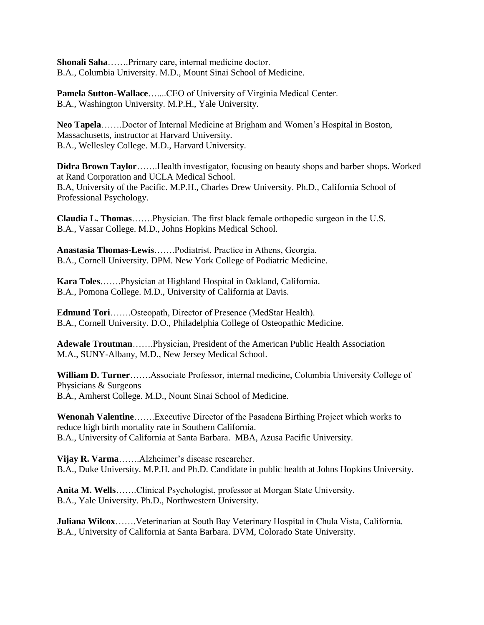**Shonali Saha**…….Primary care, internal medicine doctor. B.A., Columbia University. M.D., Mount Sinai School of Medicine.

**Pamela Sutton-Wallace**…....CEO of University of Virginia Medical Center. B.A., Washington University. M.P.H., Yale University.

**Neo Tapela**…….Doctor of Internal Medicine at Brigham and Women's Hospital in Boston, Massachusetts, instructor at Harvard University. B.A., Wellesley College. M.D., Harvard University.

**Didra Brown Taylor**…….Health investigator, focusing on beauty shops and barber shops. Worked at Rand Corporation and UCLA Medical School. B.A, University of the Pacific. M.P.H., Charles Drew University. Ph.D., California School of Professional Psychology.

**Claudia L. Thomas**…….Physician. The first black female orthopedic surgeon in the U.S. B.A., Vassar College. M.D., Johns Hopkins Medical School.

**Anastasia Thomas-Lewis**…….Podiatrist. Practice in Athens, Georgia. B.A., Cornell University. DPM. New York College of Podiatric Medicine.

**Kara Toles**…….Physician at Highland Hospital in Oakland, California. B.A., Pomona College. M.D., University of California at Davis.

**Edmund Tori**…….Osteopath, Director of Presence (MedStar Health). B.A., Cornell University. D.O., Philadelphia College of Osteopathic Medicine.

**Adewale Troutman**…….Physician, President of the American Public Health Association M.A., SUNY-Albany, M.D., New Jersey Medical School.

**William D. Turner**…….Associate Professor, internal medicine, Columbia University College of Physicians & Surgeons B.A., Amherst College. M.D., Nount Sinai School of Medicine.

**Wenonah Valentine**…….Executive Director of the Pasadena Birthing Project which works to reduce high birth mortality rate in Southern California. B.A., University of California at Santa Barbara. MBA, Azusa Pacific University.

**Vijay R. Varma**…….Alzheimer's disease researcher. B.A., Duke University. M.P.H. and Ph.D. Candidate in public health at Johns Hopkins University.

**Anita M. Wells**…….Clinical Psychologist, professor at Morgan State University. B.A., Yale University. Ph.D., Northwestern University.

**Juliana Wilcox**…….Veterinarian at South Bay Veterinary Hospital in Chula Vista, California. B.A., University of California at Santa Barbara. DVM, Colorado State University.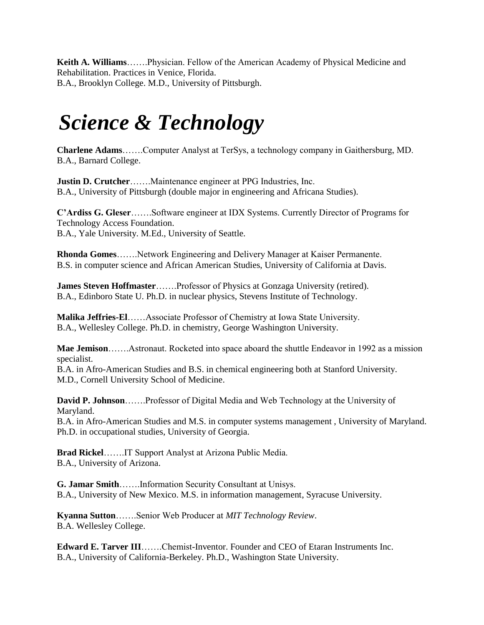**Keith A. Williams**…….Physician. Fellow of the American Academy of Physical Medicine and Rehabilitation. Practices in Venice, Florida. B.A., Brooklyn College. M.D., University of Pittsburgh.

### *Science & Technology*

**Charlene Adams**…….Computer Analyst at TerSys, a technology company in Gaithersburg, MD. B.A., Barnard College.

**Justin D. Crutcher**…….Maintenance engineer at PPG Industries, Inc. B.A., University of Pittsburgh (double major in engineering and Africana Studies).

**C'Ardiss G. Gleser**…….Software engineer at IDX Systems. Currently Director of Programs for Technology Access Foundation. B.A., Yale University. M.Ed., University of Seattle.

**Rhonda Gomes**…….Network Engineering and Delivery Manager at Kaiser Permanente. B.S. in computer science and African American Studies, University of California at Davis.

**James Steven Hoffmaster**…….Professor of Physics at Gonzaga University (retired). B.A., Edinboro State U. Ph.D. in nuclear physics, Stevens Institute of Technology.

**Malika Jeffries-El**……Associate Professor of Chemistry at Iowa State University. B.A., Wellesley College. Ph.D. in chemistry, George Washington University.

**Mae Jemison**…….Astronaut. Rocketed into space aboard the shuttle Endeavor in 1992 as a mission specialist.

B.A. in Afro-American Studies and B.S. in chemical engineering both at Stanford University. M.D., Cornell University School of Medicine.

**David P. Johnson**…….Professor of Digital Media and Web Technology at the University of Maryland.

B.A. in Afro-American Studies and M.S. in computer systems management , University of Maryland. Ph.D. in occupational studies, University of Georgia.

**Brad Rickel**…….IT Support Analyst at Arizona Public Media. B.A., University of Arizona.

**G. Jamar Smith**…….Information Security Consultant at Unisys. B.A., University of New Mexico. M.S. in information management, Syracuse University.

**Kyanna Sutton**…….Senior Web Producer at *MIT Technology Review*. B.A. Wellesley College.

**Edward E. Tarver III**…….Chemist-Inventor. Founder and CEO of Etaran Instruments Inc. B.A., University of California-Berkeley. Ph.D., Washington State University.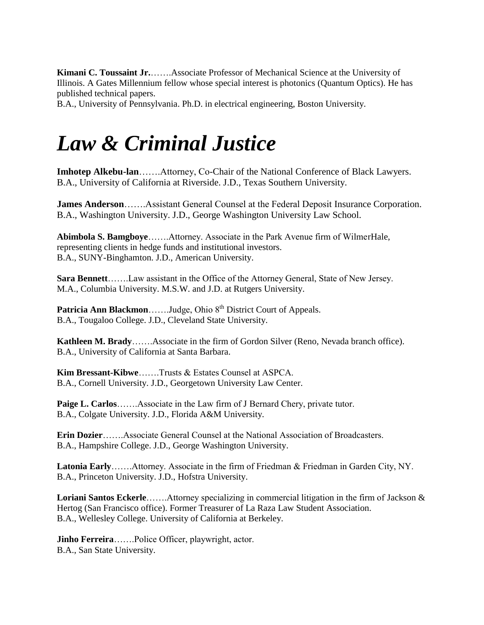**Kimani C. Toussaint Jr.**…….Associate Professor of Mechanical Science at the University of Illinois. A Gates Millennium fellow whose special interest is photonics (Quantum Optics). He has published technical papers.

B.A., University of Pennsylvania. Ph.D. in electrical engineering, Boston University.

# *Law & Criminal Justice*

**Imhotep Alkebu-lan**…….Attorney, Co-Chair of the National Conference of Black Lawyers. B.A., University of California at Riverside. J.D., Texas Southern University.

**James Anderson**…….Assistant General Counsel at the Federal Deposit Insurance Corporation. B.A., Washington University. J.D., George Washington University Law School.

**Abimbola S. Bamgboye**…….Attorney. Associate in the Park Avenue firm of WilmerHale, representing clients in hedge funds and institutional investors. B.A., SUNY-Binghamton. J.D., American University.

**Sara Bennett**…….Law assistant in the Office of the Attorney General, State of New Jersey. M.A., Columbia University. M.S.W. and J.D. at Rutgers University.

Patricia Ann Blackmon......Judge, Ohio 8<sup>th</sup> District Court of Appeals. B.A., Tougaloo College. J.D., Cleveland State University.

**Kathleen M. Brady**…….Associate in the firm of Gordon Silver (Reno, Nevada branch office). B.A., University of California at Santa Barbara.

**Kim Bressant-Kibwe**…….Trusts & Estates Counsel at ASPCA. B.A., Cornell University. J.D., Georgetown University Law Center.

**Paige L. Carlos**…….Associate in the Law firm of J Bernard Chery, private tutor. B.A., Colgate University. J.D., Florida A&M University.

**Erin Dozier**…….Associate General Counsel at the National Association of Broadcasters. B.A., Hampshire College. J.D., George Washington University.

**Latonia Early**…….Attorney. Associate in the firm of Friedman & Friedman in Garden City, NY. B.A., Princeton University. J.D., Hofstra University.

**Loriani Santos Eckerle**…….Attorney specializing in commercial litigation in the firm of Jackson & Hertog (San Francisco office). Former Treasurer of La Raza Law Student Association. B.A., Wellesley College. University of California at Berkeley.

**Jinho Ferreira**…….Police Officer, playwright, actor. B.A., San State University.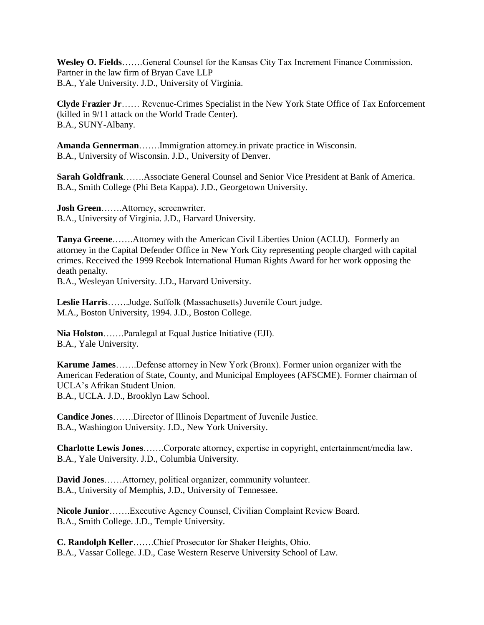**Wesley O. Fields**…….General Counsel for the Kansas City Tax Increment Finance Commission. Partner in the law firm of Bryan Cave LLP B.A., Yale University. J.D., University of Virginia.

**Clyde Frazier Jr**…… Revenue-Crimes Specialist in the New York State Office of Tax Enforcement (killed in 9/11 attack on the World Trade Center). B.A., SUNY-Albany.

**Amanda Gennerman**…….Immigration attorney.in private practice in Wisconsin. B.A., University of Wisconsin. J.D., University of Denver.

**Sarah Goldfrank**…….Associate General Counsel and Senior Vice President at Bank of America. B.A., Smith College (Phi Beta Kappa). J.D., Georgetown University.

**Josh Green**…….Attorney, screenwriter. B.A., University of Virginia. J.D., Harvard University.

**Tanya Greene**…….Attorney with the American Civil Liberties Union (ACLU). Formerly an attorney in the Capital Defender Office in New York City representing people charged with capital crimes. Received the 1999 Reebok International Human Rights Award for her work opposing the death penalty.

B.A., Wesleyan University. J.D., Harvard University.

**Leslie Harris**…….Judge. Suffolk (Massachusetts) Juvenile Court judge. M.A., Boston University, 1994. J.D., Boston College.

**Nia Holston**…….Paralegal at Equal Justice Initiative (EJI). B.A., Yale University.

**Karume James**…….Defense attorney in New York (Bronx). Former union organizer with the American Federation of State, County, and Municipal Employees (AFSCME). Former chairman of UCLA's Afrikan Student Union. B.A., UCLA. J.D., Brooklyn Law School.

**Candice Jones**…….Director of Illinois Department of Juvenile Justice. B.A., Washington University. J.D., New York University.

**Charlotte Lewis Jones**…….Corporate attorney, expertise in copyright, entertainment/media law. B.A., Yale University. J.D., Columbia University.

**David Jones**……Attorney, political organizer, community volunteer. B.A., University of Memphis, J.D., University of Tennessee.

**Nicole Junior**…….Executive Agency Counsel, Civilian Complaint Review Board. B.A., Smith College. J.D., Temple University.

**C. Randolph Keller**…….Chief Prosecutor for Shaker Heights, Ohio. B.A., Vassar College. J.D., Case Western Reserve University School of Law.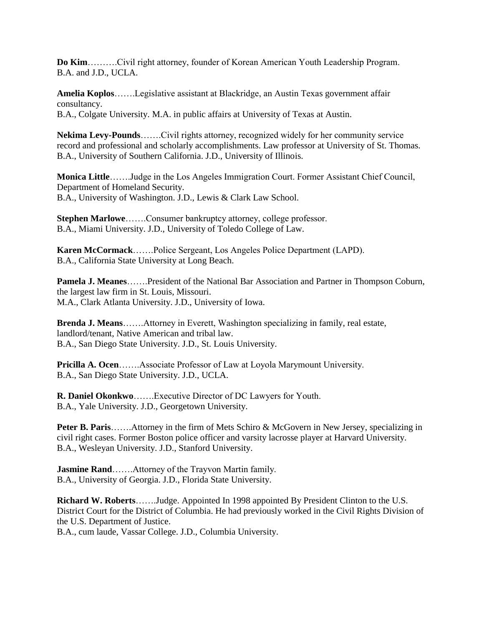**Do Kim**……….Civil right attorney, founder of Korean American Youth Leadership Program. B.A. and J.D., UCLA.

**Amelia Koplos**…….Legislative assistant at Blackridge, an Austin Texas government affair consultancy. B.A., Colgate University. M.A. in public affairs at University of Texas at Austin.

**Nekima Levy-Pounds**…….Civil rights attorney, recognized widely for her community service record and professional and scholarly accomplishments. Law professor at University of St. Thomas. B.A., University of Southern California. J.D., University of Illinois.

**Monica Little**…….Judge in the Los Angeles Immigration Court. Former Assistant Chief Council, Department of Homeland Security. B.A., University of Washington. J.D., Lewis & Clark Law School.

**Stephen Marlowe**…….Consumer bankruptcy attorney, college professor. B.A., Miami University. J.D., University of Toledo College of Law.

**Karen McCormack**…….Police Sergeant, Los Angeles Police Department (LAPD). B.A., California State University at Long Beach.

**Pamela J. Meanes**…….President of the National Bar Association and Partner in Thompson Coburn, the largest law firm in St. Louis, Missouri. M.A., Clark Atlanta University. J.D., University of Iowa.

**Brenda J. Means**…….Attorney in Everett, Washington specializing in family, real estate, landlord/tenant, Native American and tribal law. B.A., San Diego State University. J.D., St. Louis University.

**Pricilla A. Ocen**…….Associate Professor of Law at Loyola Marymount University. B.A., San Diego State University. J.D., UCLA.

**R. Daniel Okonkwo**…….Executive Director of DC Lawyers for Youth. B.A., Yale University. J.D., Georgetown University.

**Peter B. Paris**…….Attorney in the firm of Mets Schiro & McGovern in New Jersey, specializing in civil right cases. Former Boston police officer and varsity lacrosse player at Harvard University. B.A., Wesleyan University. J.D., Stanford University.

**Jasmine Rand**…….Attorney of the Trayvon Martin family. B.A., University of Georgia. J.D., Florida State University.

**Richard W. Roberts**…….Judge. Appointed In 1998 appointed By President Clinton to the U.S. District Court for the District of Columbia. He had previously worked in the Civil Rights Division of the U.S. Department of Justice.

B.A., cum laude, Vassar College. J.D., Columbia University.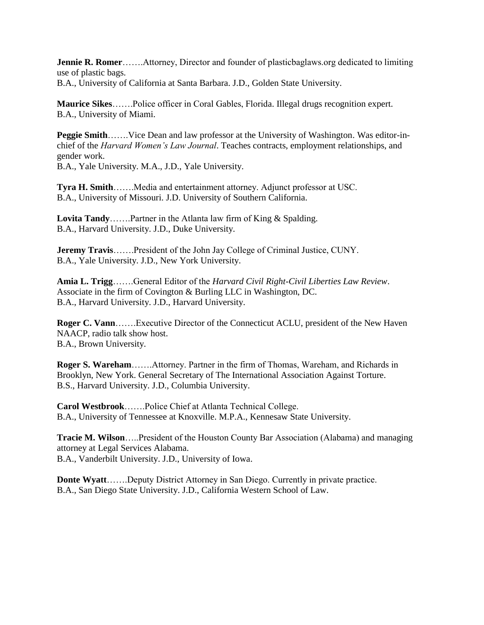**Jennie R. Romer**…….Attorney, Director and founder of plasticbaglaws.org dedicated to limiting use of plastic bags.

B.A., University of California at Santa Barbara. J.D., Golden State University.

**Maurice Sikes**…….Police officer in Coral Gables, Florida. Illegal drugs recognition expert. B.A., University of Miami.

**Peggie Smith**…….Vice Dean and law professor at the University of Washington. Was editor-inchief of the *Harvard Women's Law Journal*. Teaches contracts, employment relationships, and gender work. B.A., Yale University. M.A., J.D., Yale University.

**Tyra H. Smith**…….Media and entertainment attorney. Adjunct professor at USC. B.A., University of Missouri. J.D. University of Southern California.

**Lovita Tandy**…….Partner in the Atlanta law firm of King & Spalding. B.A., Harvard University. J.D., Duke University.

**Jeremy Travis**…….President of the John Jay College of Criminal Justice, CUNY. B.A., Yale University. J.D., New York University.

**Amia L. Trigg**…….General Editor of the *Harvard Civil Right-Civil Liberties Law Review*. Associate in the firm of Covington & Burling LLC in Washington, DC. B.A., Harvard University. J.D., Harvard University.

**Roger C. Vann**…….Executive Director of the Connecticut ACLU, president of the New Haven NAACP, radio talk show host. B.A., Brown University.

**Roger S. Wareham**…….Attorney. Partner in the firm of Thomas, Wareham, and Richards in Brooklyn, New York. General Secretary of The International Association Against Torture. B.S., Harvard University. J.D., Columbia University.

**Carol Westbrook**…….Police Chief at Atlanta Technical College. B.A., University of Tennessee at Knoxville. M.P.A., Kennesaw State University.

**Tracie M. Wilson**…..President of the Houston County Bar Association (Alabama) and managing attorney at Legal Services Alabama. B.A., Vanderbilt University. J.D., University of Iowa.

**Donte Wyatt**…….Deputy District Attorney in San Diego. Currently in private practice. B.A., San Diego State University. J.D., California Western School of Law.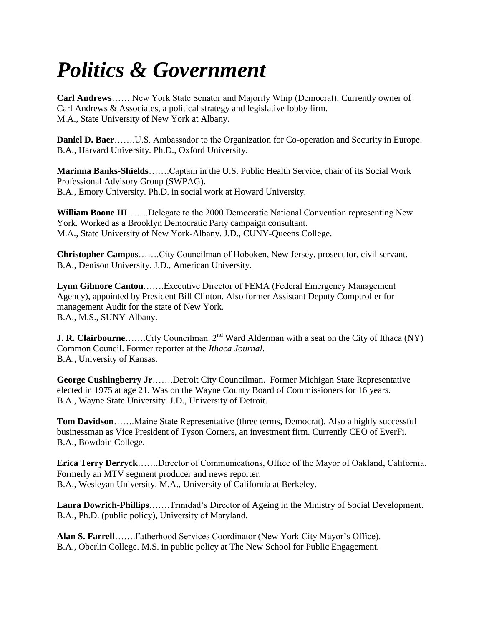# *Politics & Government*

**Carl Andrews**…….New York State Senator and Majority Whip (Democrat). Currently owner of Carl Andrews & Associates, a political strategy and legislative lobby firm. M.A., State University of New York at Albany.

**Daniel D. Baer**…….U.S. Ambassador to the Organization for Co-operation and Security in Europe. B.A., Harvard University. Ph.D., Oxford University.

**Marinna Banks-Shields**…….Captain in the U.S. Public Health Service, chair of its Social Work Professional Advisory Group (SWPAG). B.A., Emory University. Ph.D. in social work at Howard University.

**William Boone III**…….Delegate to the 2000 Democratic National Convention representing New York. Worked as a Brooklyn Democratic Party campaign consultant. M.A., State University of New York-Albany. J.D., CUNY-Queens College.

**Christopher Campos**…….City Councilman of Hoboken, New Jersey, prosecutor, civil servant. B.A., Denison University. J.D., American University.

**Lynn Gilmore Canton**…….Executive Director of FEMA (Federal Emergency Management Agency), appointed by President Bill Clinton. Also former Assistant Deputy Comptroller for management Audit for the state of New York. B.A., M.S., SUNY-Albany.

**J. R. Clairbourne** ……..City Councilman. 2<sup>nd</sup> Ward Alderman with a seat on the City of Ithaca (NY) Common Council. Former reporter at the *Ithaca Journal*. B.A., University of Kansas.

**George Cushingberry Jr**…….Detroit City Councilman. Former Michigan State Representative elected in 1975 at age 21. Was on the Wayne County Board of Commissioners for 16 years. B.A., Wayne State University. J.D., University of Detroit.

**Tom Davidson**…….Maine State Representative (three terms, Democrat). Also a highly successful businessman as Vice President of Tyson Corners, an investment firm. Currently CEO of EverFi. B.A., Bowdoin College.

**Erica Terry Derryck**…….Director of Communications, Office of the Mayor of Oakland, California. Formerly an MTV segment producer and news reporter. B.A., Wesleyan University. M.A., University of California at Berkeley.

**Laura Dowrich-Phillips**…….Trinidad's Director of Ageing in the Ministry of Social Development. B.A., Ph.D. (public policy), University of Maryland.

**Alan S. Farrell**…….Fatherhood Services Coordinator (New York City Mayor's Office). B.A., Oberlin College. M.S. in public policy at The New School for Public Engagement.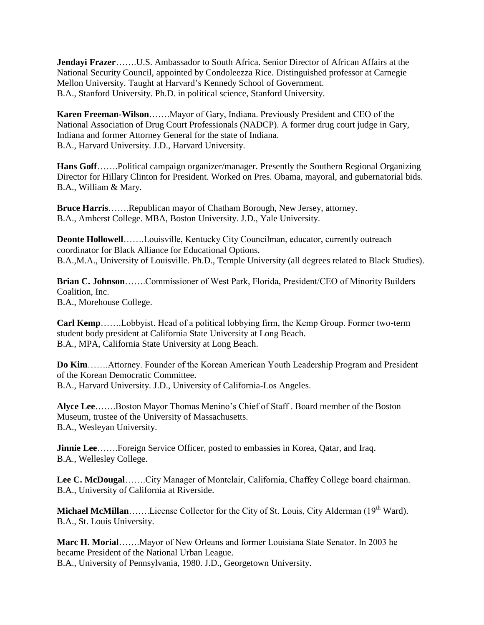**Jendayi Frazer**…….U.S. Ambassador to South Africa. Senior Director of African Affairs at the National Security Council, appointed by Condoleezza Rice. Distinguished professor at Carnegie Mellon University. Taught at Harvard's Kennedy School of Government. B.A., Stanford University. Ph.D. in political science, Stanford University.

**Karen Freeman-Wilson**…….Mayor of Gary, Indiana. Previously President and CEO of the National Association of Drug Court Professionals (NADCP). A former drug court judge in Gary, Indiana and former Attorney General for the state of Indiana. B.A., Harvard University. J.D., Harvard University.

**Hans Goff**…….Political campaign organizer/manager. Presently the Southern Regional Organizing Director for Hillary Clinton for President. Worked on Pres. Obama, mayoral, and gubernatorial bids. B.A., William & Mary.

Bruce Harris…….Republican mayor of Chatham Borough, New Jersey, attorney. B.A., Amherst College. MBA, Boston University. J.D., Yale University.

**Deonte Hollowell**…….Louisville, Kentucky City Councilman, educator, currently outreach coordinator for Black Alliance for Educational Options. B.A.,M.A., University of Louisville. Ph.D., Temple University (all degrees related to Black Studies).

**Brian C. Johnson**…….Commissioner of West Park, Florida, President/CEO of Minority Builders Coalition, Inc. B.A., Morehouse College.

**Carl Kemp**…….Lobbyist. Head of a political lobbying firm, the Kemp Group. Former two-term student body president at California State University at Long Beach. B.A., MPA, California State University at Long Beach.

**Do Kim**…….Attorney. Founder of the Korean American Youth Leadership Program and President of the Korean Democratic Committee. B.A., Harvard University. J.D., University of California-Los Angeles.

**Alyce Lee**…….Boston Mayor Thomas Menino's Chief of Staff . Board member of the Boston Museum, trustee of the University of Massachusetts. B.A., Wesleyan University.

**Jinnie Lee**…….Foreign Service Officer, posted to embassies in Korea, Qatar, and Iraq. B.A., Wellesley College.

**Lee C. McDougal**…….City Manager of Montclair, California, Chaffey College board chairman. B.A., University of California at Riverside.

Michael McMillan…….License Collector for the City of St. Louis, City Alderman (19<sup>th</sup> Ward). B.A., St. Louis University.

**Marc H. Morial**…….Mayor of New Orleans and former Louisiana State Senator. In 2003 he became President of the National Urban League. B.A., University of Pennsylvania, 1980. J.D., Georgetown University.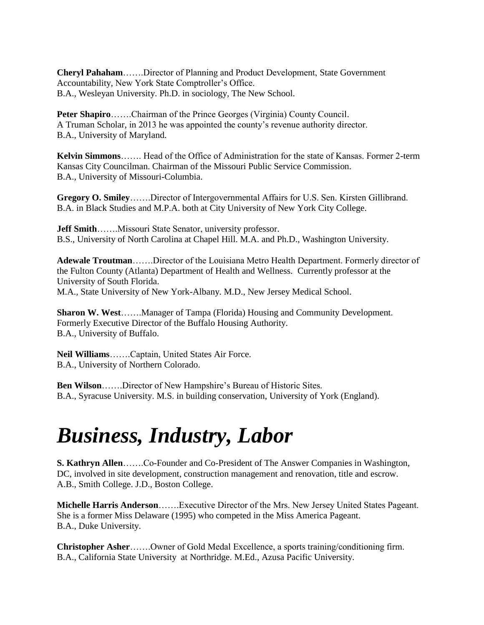**Cheryl Pahaham**…….Director of Planning and Product Development, State Government Accountability, New York State Comptroller's Office. B.A., Wesleyan University. Ph.D. in sociology, The New School.

**Peter Shapiro**…….Chairman of the Prince Georges (Virginia) County Council. A Truman Scholar, in 2013 he was appointed the county's revenue authority director. B.A., University of Maryland.

**Kelvin Simmons**……. Head of the Office of Administration for the state of Kansas. Former 2-term Kansas City Councilman. Chairman of the Missouri Public Service Commission. B.A., University of Missouri-Columbia.

**Gregory O. Smiley**…….Director of Intergovernmental Affairs for U.S. Sen. Kirsten Gillibrand. B.A. in Black Studies and M.P.A. both at City University of New York City College.

**Jeff Smith**…….Missouri State Senator, university professor. B.S., University of North Carolina at Chapel Hill. M.A. and Ph.D., Washington University.

**Adewale Troutman**…….Director of the Louisiana Metro Health Department. Formerly director of the Fulton County (Atlanta) Department of Health and Wellness. Currently professor at the University of South Florida. M.A., State University of New York-Albany. M.D., New Jersey Medical School.

**Sharon W. West**…….Manager of Tampa (Florida) Housing and Community Development. Formerly Executive Director of the Buffalo Housing Authority. B.A., University of Buffalo.

**Neil Williams**…….Captain, United States Air Force. B.A., University of Northern Colorado.

**Ben Wilson**…….Director of New Hampshire's Bureau of Historic Sites. B.A., Syracuse University. M.S. in building conservation, University of York (England).

# *Business, Industry, Labor*

**S. Kathryn Allen**…….Co-Founder and Co-President of The Answer Companies in Washington, DC, involved in site development, construction management and renovation, title and escrow. A.B., Smith College. J.D., Boston College.

**Michelle Harris Anderson**…….Executive Director of the Mrs. New Jersey United States Pageant. She is a former Miss Delaware (1995) who competed in the Miss America Pageant. B.A., Duke University.

**Christopher Asher**…….Owner of Gold Medal Excellence, a sports training/conditioning firm. B.A., California State University at Northridge. M.Ed., Azusa Pacific University.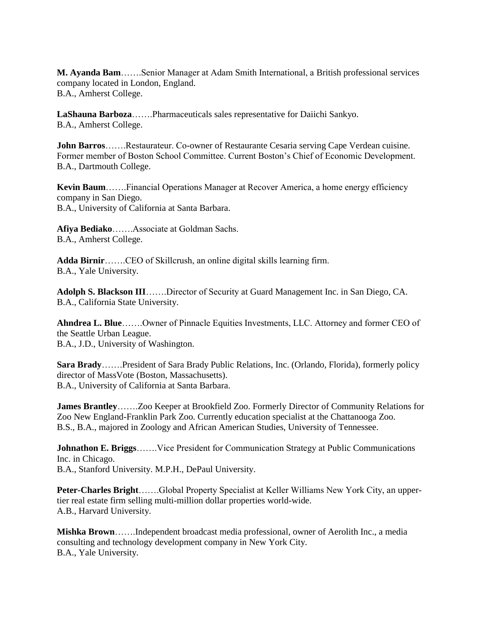**M. Ayanda Bam**…….Senior Manager at Adam Smith International, a British professional services company located in London, England. B.A., Amherst College.

**LaShauna Barboza**…….Pharmaceuticals sales representative for Daiichi Sankyo. B.A., Amherst College.

**John Barros**…….Restaurateur. Co-owner of Restaurante Cesaria serving Cape Verdean cuisine. Former member of Boston School Committee. Current Boston's Chief of Economic Development. B.A., Dartmouth College.

**Kevin Baum**…….Financial Operations Manager at Recover America, a home energy efficiency company in San Diego. B.A., University of California at Santa Barbara.

**Afiya Bediako**…….Associate at Goldman Sachs. B.A., Amherst College.

**Adda Birnir**…….CEO of Skillcrush, an online digital skills learning firm. B.A., Yale University.

**Adolph S. Blackson III**…….Director of Security at Guard Management Inc. in San Diego, CA. B.A., California State University.

**Ahndrea L. Blue**…….Owner of Pinnacle Equities Investments, LLC. Attorney and former CEO of the Seattle Urban League.

B.A., J.D., University of Washington.

**Sara Brady**…….President of Sara Brady Public Relations, Inc. (Orlando, Florida), formerly policy director of MassVote (Boston, Massachusetts). B.A., University of California at Santa Barbara.

**James Brantley**…….Zoo Keeper at Brookfield Zoo. Formerly Director of Community Relations for Zoo New England-Franklin Park Zoo. Currently education specialist at the Chattanooga Zoo. B.S., B.A., majored in Zoology and African American Studies, University of Tennessee.

**Johnathon E. Briggs.......** Vice President for Communication Strategy at Public Communications Inc. in Chicago. B.A., Stanford University. M.P.H., DePaul University.

**Peter-Charles Bright**…….Global Property Specialist at Keller Williams New York City, an uppertier real estate firm selling multi-million dollar properties world-wide. A.B., Harvard University.

**Mishka Brown**…….Independent broadcast media professional, owner of Aerolith Inc., a media consulting and technology development company in New York City. B.A., Yale University.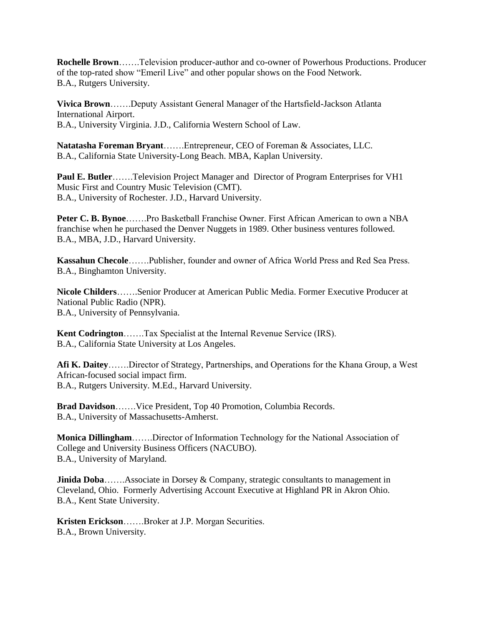**Rochelle Brown**……..Television producer-author and co-owner of Powerhous Productions. Producer of the top-rated show "Emeril Live" and other popular shows on the Food Network. B.A., Rutgers University.

**Vivica Brown**…….Deputy Assistant General Manager of the Hartsfield-Jackson Atlanta International Airport. B.A., University Virginia. J.D., California Western School of Law.

**Natatasha Foreman Bryant**…….Entrepreneur, CEO of Foreman & Associates, LLC. B.A., California State University-Long Beach. MBA, Kaplan University.

**Paul E. Butler**…….Television Project Manager and Director of Program Enterprises for VH1 Music First and Country Music Television (CMT). B.A., University of Rochester. J.D., Harvard University.

**Peter C. B. Bynoe**…….Pro Basketball Franchise Owner. First African American to own a NBA franchise when he purchased the Denver Nuggets in 1989. Other business ventures followed. B.A., MBA, J.D., Harvard University.

**Kassahun Checole**…….Publisher, founder and owner of Africa World Press and Red Sea Press. B.A., Binghamton University.

**Nicole Childers**…….Senior Producer at American Public Media. Former Executive Producer at National Public Radio (NPR). B.A., University of Pennsylvania.

**Kent Codrington**…….Tax Specialist at the Internal Revenue Service (IRS). B.A., California State University at Los Angeles.

**Afi K. Daitey**…….Director of Strategy, Partnerships, and Operations for the Khana Group, a West African-focused social impact firm. B.A., Rutgers University. M.Ed., Harvard University.

**Brad Davidson**…….Vice President, Top 40 Promotion, Columbia Records. B.A., University of Massachusetts-Amherst.

**Monica Dillingham**…….Director of Information Technology for the National Association of College and University Business Officers (NACUBO). B.A., University of Maryland.

**Jinida Doba** ....... Associate in Dorsey & Company, strategic consultants to management in Cleveland, Ohio. Formerly Advertising Account Executive at Highland PR in Akron Ohio. B.A., Kent State University.

**Kristen Erickson**…….Broker at J.P. Morgan Securities. B.A., Brown University.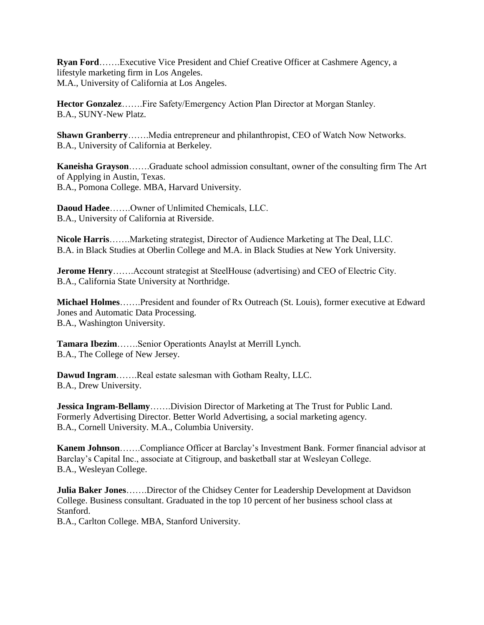**Ryan Ford**…….Executive Vice President and Chief Creative Officer at Cashmere Agency, a lifestyle marketing firm in Los Angeles. M.A., University of California at Los Angeles.

**Hector Gonzalez**…….Fire Safety/Emergency Action Plan Director at Morgan Stanley. B.A., SUNY-New Platz.

**Shawn Granberry……..**Media entrepreneur and philanthropist, CEO of Watch Now Networks. B.A., University of California at Berkeley.

**Kaneisha Grayson**…….Graduate school admission consultant, owner of the consulting firm The Art of Applying in Austin, Texas. B.A., Pomona College. MBA, Harvard University.

**Daoud Hadee**…….Owner of Unlimited Chemicals, LLC. B.A., University of California at Riverside.

**Nicole Harris**…….Marketing strategist, Director of Audience Marketing at The Deal, LLC. B.A. in Black Studies at Oberlin College and M.A. in Black Studies at New York University.

**Jerome Henry**…….Account strategist at SteelHouse (advertising) and CEO of Electric City. B.A., California State University at Northridge.

**Michael Holmes**…….President and founder of Rx Outreach (St. Louis), former executive at Edward Jones and Automatic Data Processing. B.A., Washington University.

**Tamara Ibezim**…….Senior Operationts Anaylst at Merrill Lynch. B.A., The College of New Jersey.

**Dawud Ingram**…….Real estate salesman with Gotham Realty, LLC. B.A., Drew University.

**Jessica Ingram-Bellamy**…….Division Director of Marketing at The Trust for Public Land. Formerly Advertising Director. Better World Advertising, a social marketing agency. B.A., Cornell University. M.A., Columbia University.

**Kanem Johnson**…….Compliance Officer at Barclay's Investment Bank. Former financial advisor at Barclay's Capital Inc., associate at Citigroup, and basketball star at Wesleyan College. B.A., Wesleyan College.

**Julia Baker Jones**…….Director of the Chidsey Center for Leadership Development at Davidson College. Business consultant. Graduated in the top 10 percent of her business school class at Stanford.

B.A., Carlton College. MBA, Stanford University.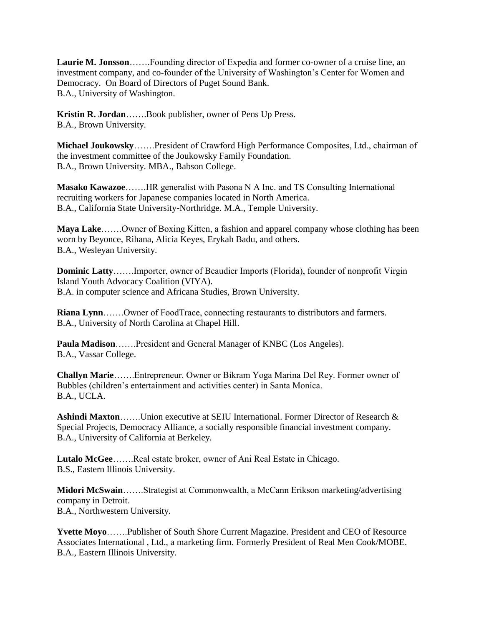**Laurie M. Jonsson**…….Founding director of Expedia and former co-owner of a cruise line, an investment company, and co-founder of the University of Washington's Center for Women and Democracy. On Board of Directors of Puget Sound Bank. B.A., University of Washington.

**Kristin R. Jordan**…….Book publisher, owner of Pens Up Press. B.A., Brown University.

**Michael Joukowsky**…….President of Crawford High Performance Composites, Ltd., chairman of the investment committee of the Joukowsky Family Foundation. B.A., Brown University. MBA., Babson College.

**Masako Kawazoe**…….HR generalist with Pasona N A Inc. and TS Consulting International recruiting workers for Japanese companies located in North America. B.A., California State University-Northridge. M.A., Temple University.

**Maya Lake**…….Owner of Boxing Kitten, a fashion and apparel company whose clothing has been worn by Beyonce, Rihana, Alicia Keyes, Erykah Badu, and others. B.A., Wesleyan University.

**Dominic Latty**…….Importer, owner of Beaudier Imports (Florida), founder of nonprofit Virgin Island Youth Advocacy Coalition (VIYA). B.A. in computer science and Africana Studies, Brown University.

**Riana Lynn**…….Owner of FoodTrace, connecting restaurants to distributors and farmers. B.A., University of North Carolina at Chapel Hill.

**Paula Madison**…….President and General Manager of KNBC (Los Angeles). B.A., Vassar College.

**Challyn Marie**…….Entrepreneur. Owner or Bikram Yoga Marina Del Rey. Former owner of Bubbles (children's entertainment and activities center) in Santa Monica. B.A., UCLA.

**Ashindi Maxton**…….Union executive at SEIU International. Former Director of Research & Special Projects, Democracy Alliance, a socially responsible financial investment company. B.A., University of California at Berkeley.

**Lutalo McGee**…….Real estate broker, owner of Ani Real Estate in Chicago. B.S., Eastern Illinois University.

**Midori McSwain**…….Strategist at Commonwealth, a McCann Erikson marketing/advertising company in Detroit. B.A., Northwestern University.

**Yvette Moyo**…….Publisher of South Shore Current Magazine. President and CEO of Resource Associates International , Ltd., a marketing firm. Formerly President of Real Men Cook/MOBE. B.A., Eastern Illinois University.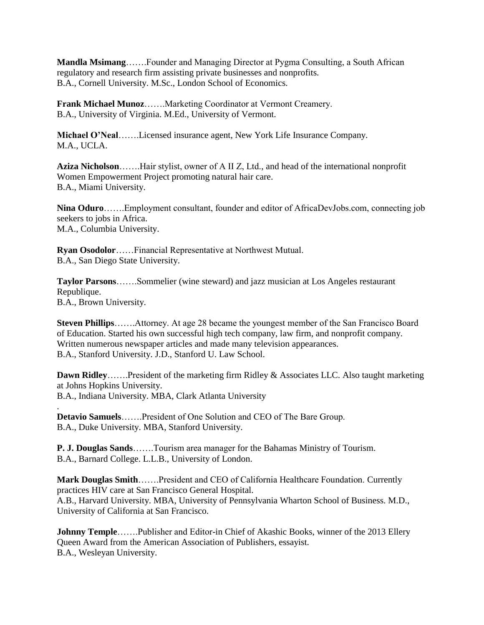**Mandla Msimang**…….Founder and Managing Director at Pygma Consulting, a South African regulatory and research firm assisting private businesses and nonprofits. B.A., Cornell University. M.Sc., London School of Economics.

**Frank Michael Munoz**…….Marketing Coordinator at Vermont Creamery. B.A., University of Virginia. M.Ed., University of Vermont.

**Michael O'Neal**…….Licensed insurance agent, New York Life Insurance Company. M.A., UCLA.

**Aziza Nicholson**…….Hair stylist, owner of A II Z, Ltd., and head of the international nonprofit Women Empowerment Project promoting natural hair care. B.A., Miami University.

**Nina Oduro**…….Employment consultant, founder and editor of AfricaDevJobs.com, connecting job seekers to jobs in Africa. M.A., Columbia University.

**Ryan Osodolor**……Financial Representative at Northwest Mutual. B.A., San Diego State University.

**Taylor Parsons**…….Sommelier (wine steward) and jazz musician at Los Angeles restaurant Republique. B.A., Brown University.

**Steven Phillips**…….Attorney. At age 28 became the youngest member of the San Francisco Board of Education. Started his own successful high tech company, law firm, and nonprofit company. Written numerous newspaper articles and made many television appearances. B.A., Stanford University. J.D., Stanford U. Law School.

**Dawn Ridley**…….President of the marketing firm Ridley & Associates LLC. Also taught marketing at Johns Hopkins University. B.A., Indiana University. MBA, Clark Atlanta University

**Detavio Samuels**…….President of One Solution and CEO of The Bare Group. B.A., Duke University. MBA, Stanford University.

.

**P. J. Douglas Sands**…….Tourism area manager for the Bahamas Ministry of Tourism. B.A., Barnard College. L.L.B., University of London.

**Mark Douglas Smith**…….President and CEO of California Healthcare Foundation. Currently practices HIV care at San Francisco General Hospital. A.B., Harvard University. MBA, University of Pennsylvania Wharton School of Business. M.D., University of California at San Francisco.

**Johnny Temple**…….Publisher and Editor-in Chief of Akashic Books, winner of the 2013 Ellery Queen Award from the American Association of Publishers, essayist. B.A., Wesleyan University.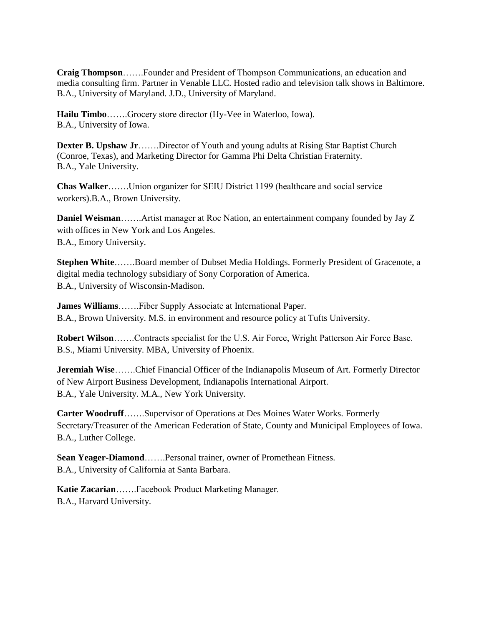**Craig Thompson**…….Founder and President of Thompson Communications, an education and media consulting firm. Partner in Venable LLC. Hosted radio and television talk shows in Baltimore. B.A., University of Maryland. J.D., University of Maryland.

**Hailu Timbo**…….Grocery store director (Hy-Vee in Waterloo, Iowa). B.A., University of Iowa.

**Dexter B. Upshaw Jr**…….Director of Youth and young adults at Rising Star Baptist Church (Conroe, Texas), and Marketing Director for Gamma Phi Delta Christian Fraternity. B.A., Yale University.

**Chas Walker**…….Union organizer for SEIU District 1199 (healthcare and social service workers).B.A., Brown University.

**Daniel Weisman**…….Artist manager at Roc Nation, an entertainment company founded by Jay Z with offices in New York and Los Angeles. B.A., Emory University.

**Stephen White**…….Board member of Dubset Media Holdings. Formerly President of Gracenote, a digital media technology subsidiary of Sony Corporation of America. B.A., University of Wisconsin-Madison.

**James Williams**…….Fiber Supply Associate at International Paper. B.A., Brown University. M.S. in environment and resource policy at Tufts University.

**Robert Wilson**…….Contracts specialist for the U.S. Air Force, Wright Patterson Air Force Base. B.S., Miami University. MBA, University of Phoenix.

**Jeremiah Wise**…….Chief Financial Officer of the Indianapolis Museum of Art. Formerly Director of New Airport Business Development, Indianapolis International Airport. B.A., Yale University. M.A., New York University.

**Carter Woodruff**…….Supervisor of Operations at Des Moines Water Works. Formerly Secretary/Treasurer of the American Federation of State, County and Municipal Employees of Iowa. B.A., Luther College.

**Sean Yeager-Diamond**…….Personal trainer, owner of Promethean Fitness. B.A., University of California at Santa Barbara.

**Katie Zacarian**…….Facebook Product Marketing Manager. B.A., Harvard University.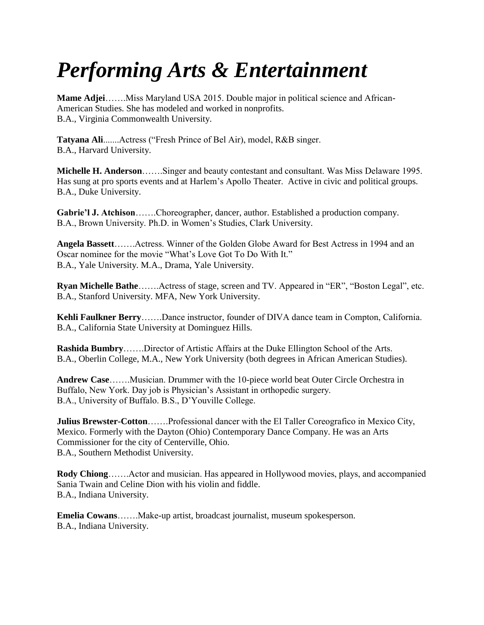# *Performing Arts & Entertainment*

**Mame Adjei**…….Miss Maryland USA 2015. Double major in political science and African-American Studies. She has modeled and worked in nonprofits. B.A., Virginia Commonwealth University.

**Tatyana Ali**.......Actress ("Fresh Prince of Bel Air), model, R&B singer. B.A., Harvard University.

**Michelle H. Anderson**…….Singer and beauty contestant and consultant. Was Miss Delaware 1995. Has sung at pro sports events and at Harlem's Apollo Theater. Active in civic and political groups. B.A., Duke University.

**Gabrie'l J. Atchison**…….Choreographer, dancer, author. Established a production company. B.A., Brown University. Ph.D. in Women's Studies, Clark University.

**Angela Bassett**…….Actress. Winner of the Golden Globe Award for Best Actress in 1994 and an Oscar nominee for the movie "What's Love Got To Do With It." B.A., Yale University. M.A., Drama, Yale University.

**Ryan Michelle Bathe**…….Actress of stage, screen and TV. Appeared in "ER", "Boston Legal", etc. B.A., Stanford University. MFA, New York University.

**Kehli Faulkner Berry**…….Dance instructor, founder of DIVA dance team in Compton, California. B.A., California State University at Dominguez Hills.

**Rashida Bumbry**…….Director of Artistic Affairs at the Duke Ellington School of the Arts. B.A., Oberlin College, M.A., New York University (both degrees in African American Studies).

**Andrew Case**…….Musician. Drummer with the 10-piece world beat Outer Circle Orchestra in Buffalo, New York. Day job is Physician's Assistant in orthopedic surgery. B.A., University of Buffalo. B.S., D'Youville College.

**Julius Brewster-Cotton**…….Professional dancer with the El Taller Coreografico in Mexico City, Mexico. Formerly with the Dayton (Ohio) Contemporary Dance Company. He was an Arts Commissioner for the city of Centerville, Ohio. B.A., Southern Methodist University.

**Rody Chiong**…….Actor and musician. Has appeared in Hollywood movies, plays, and accompanied Sania Twain and Celine Dion with his violin and fiddle. B.A., Indiana University.

**Emelia Cowans**…….Make-up artist, broadcast journalist, museum spokesperson. B.A., Indiana University.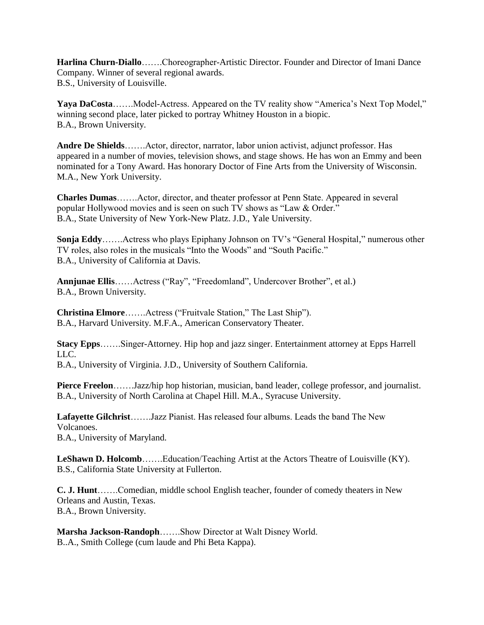**Harlina Churn-Diallo**…….Choreographer-Artistic Director. Founder and Director of Imani Dance Company. Winner of several regional awards. B.S., University of Louisville.

Yaya DaCosta…….Model-Actress. Appeared on the TV reality show "America's Next Top Model," winning second place, later picked to portray Whitney Houston in a biopic. B.A., Brown University.

**Andre De Shields**…….Actor, director, narrator, labor union activist, adjunct professor. Has appeared in a number of movies, television shows, and stage shows. He has won an Emmy and been nominated for a Tony Award. Has honorary Doctor of Fine Arts from the University of Wisconsin. M.A., New York University.

**Charles Dumas**…….Actor, director, and theater professor at Penn State. Appeared in several popular Hollywood movies and is seen on such TV shows as "Law & Order." B.A., State University of New York-New Platz. J.D., Yale University.

**Sonja Eddy**…….Actress who plays Epiphany Johnson on TV's "General Hospital," numerous other TV roles, also roles in the musicals "Into the Woods" and "South Pacific." B.A., University of California at Davis.

**Annjunae Ellis**……Actress ("Ray", "Freedomland", Undercover Brother", et al.) B.A., Brown University.

**Christina Elmore**…….Actress ("Fruitvale Station," The Last Ship"). B.A., Harvard University. M.F.A., American Conservatory Theater.

**Stacy Epps**…….Singer-Attorney. Hip hop and jazz singer. Entertainment attorney at Epps Harrell LLC. B.A., University of Virginia. J.D., University of Southern California.

**Pierce Freelon**…….Jazz/hip hop historian, musician, band leader, college professor, and journalist. B.A., University of North Carolina at Chapel Hill. M.A., Syracuse University.

**Lafayette Gilchrist**…….Jazz Pianist. Has released four albums. Leads the band The New Volcanoes. B.A., University of Maryland.

**LeShawn D. Holcomb**…….Education/Teaching Artist at the Actors Theatre of Louisville (KY). B.S., California State University at Fullerton.

**C. J. Hunt**…….Comedian, middle school English teacher, founder of comedy theaters in New Orleans and Austin, Texas. B.A., Brown University.

**Marsha Jackson-Randoph**…….Show Director at Walt Disney World. B..A., Smith College (cum laude and Phi Beta Kappa).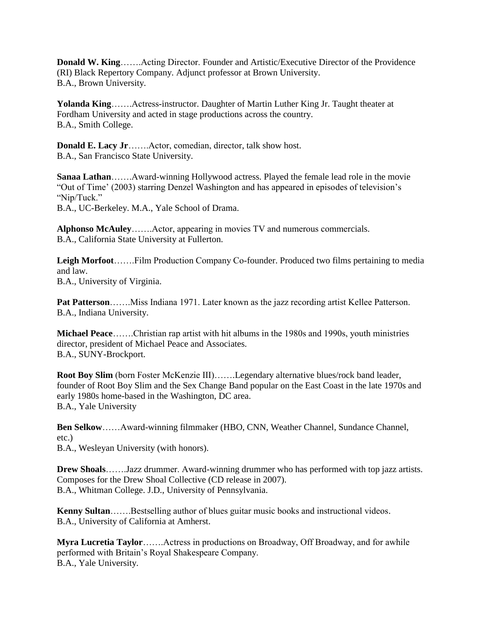**Donald W. King**…….Acting Director. Founder and Artistic/Executive Director of the Providence (RI) Black Repertory Company. Adjunct professor at Brown University. B.A., Brown University.

**Yolanda King**…….Actress-instructor. Daughter of Martin Luther King Jr. Taught theater at Fordham University and acted in stage productions across the country. B.A., Smith College.

**Donald E. Lacy Jr**…….Actor, comedian, director, talk show host. B.A., San Francisco State University.

**Sanaa Lathan**…….Award-winning Hollywood actress. Played the female lead role in the movie "Out of Time' (2003) starring Denzel Washington and has appeared in episodes of television's "Nip/Tuck."

B.A., UC-Berkeley. M.A., Yale School of Drama.

**Alphonso McAuley**…….Actor, appearing in movies TV and numerous commercials. B.A., California State University at Fullerton.

**Leigh Morfoot**…….Film Production Company Co-founder. Produced two films pertaining to media and law. B.A., University of Virginia.

**Pat Patterson**…….Miss Indiana 1971. Later known as the jazz recording artist Kellee Patterson. B.A., Indiana University.

**Michael Peace**…….Christian rap artist with hit albums in the 1980s and 1990s, youth ministries director, president of Michael Peace and Associates. B.A., SUNY-Brockport.

**Root Boy Slim** (born Foster McKenzie III)…….Legendary alternative blues/rock band leader, founder of Root Boy Slim and the Sex Change Band popular on the East Coast in the late 1970s and early 1980s home-based in the Washington, DC area. B.A., Yale University

**Ben Selkow**……Award-winning filmmaker (HBO, CNN, Weather Channel, Sundance Channel, etc.) B.A., Wesleyan University (with honors).

**Drew Shoals**…….Jazz drummer. Award-winning drummer who has performed with top jazz artists. Composes for the Drew Shoal Collective (CD release in 2007). B.A., Whitman College. J.D., University of Pennsylvania.

**Kenny Sultan**…….Bestselling author of blues guitar music books and instructional videos. B.A., University of California at Amherst.

**Myra Lucretia Taylor**…….Actress in productions on Broadway, Off Broadway, and for awhile performed with Britain's Royal Shakespeare Company. B.A., Yale University.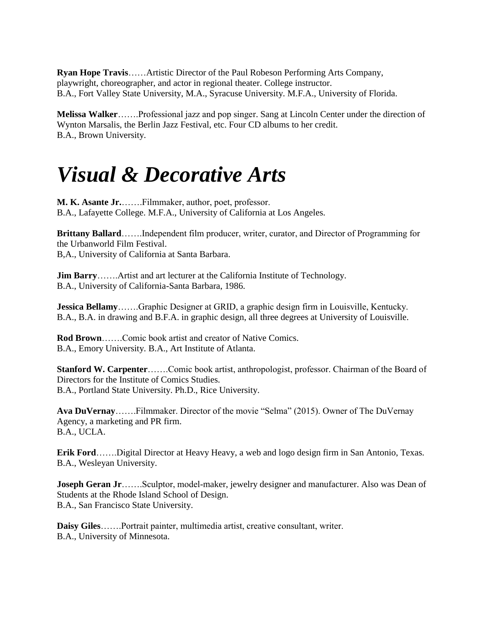**Ryan Hope Travis**……Artistic Director of the Paul Robeson Performing Arts Company, playwright, choreographer, and actor in regional theater. College instructor. B.A., Fort Valley State University, M.A., Syracuse University. M.F.A., University of Florida.

**Melissa Walker**…….Professional jazz and pop singer. Sang at Lincoln Center under the direction of Wynton Marsalis, the Berlin Jazz Festival, etc. Four CD albums to her credit. B.A., Brown University.

#### *Visual & Decorative Arts*

**M. K. Asante Jr.**…….Filmmaker, author, poet, professor. B.A., Lafayette College. M.F.A., University of California at Los Angeles.

**Brittany Ballard**…….Independent film producer, writer, curator, and Director of Programming for the Urbanworld Film Festival. B,A., University of California at Santa Barbara.

**Jim Barry**……..Artist and art lecturer at the California Institute of Technology. B.A., University of California-Santa Barbara, 1986.

**Jessica Bellamy**…….Graphic Designer at GRID, a graphic design firm in Louisville, Kentucky. B.A., B.A. in drawing and B.F.A. in graphic design, all three degrees at University of Louisville.

**Rod Brown**…….Comic book artist and creator of Native Comics. B.A., Emory University. B.A., Art Institute of Atlanta.

**Stanford W. Carpenter**…….Comic book artist, anthropologist, professor. Chairman of the Board of Directors for the Institute of Comics Studies. B.A., Portland State University. Ph.D., Rice University.

**Ava DuVernay**…….Filmmaker. Director of the movie "Selma" (2015). Owner of The DuVernay Agency, a marketing and PR firm. B.A., UCLA.

**Erik Ford**…….Digital Director at Heavy Heavy, a web and logo design firm in San Antonio, Texas. B.A., Wesleyan University.

**Joseph Geran Jr**…….Sculptor, model-maker, jewelry designer and manufacturer. Also was Dean of Students at the Rhode Island School of Design. B.A., San Francisco State University.

**Daisy Giles**…….Portrait painter, multimedia artist, creative consultant, writer. B.A., University of Minnesota.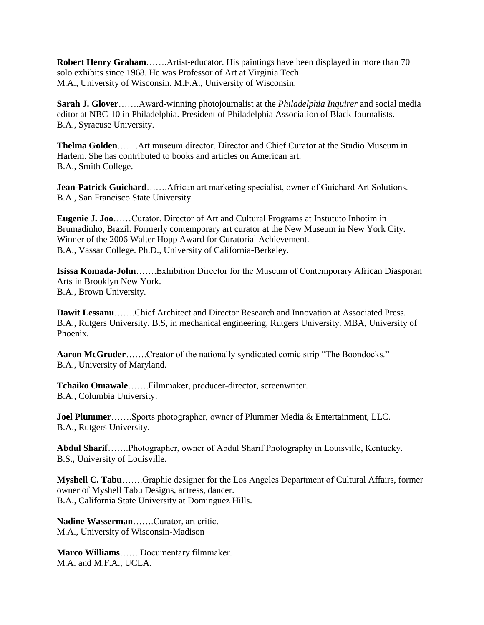**Robert Henry Graham**…….Artist-educator. His paintings have been displayed in more than 70 solo exhibits since 1968. He was Professor of Art at Virginia Tech. M.A., University of Wisconsin. M.F.A., University of Wisconsin.

**Sarah J. Glover**…….Award-winning photojournalist at the *Philadelphia Inquirer* and social media editor at NBC-10 in Philadelphia. President of Philadelphia Association of Black Journalists. B.A., Syracuse University.

**Thelma Golden**…….Art museum director. Director and Chief Curator at the Studio Museum in Harlem. She has contributed to books and articles on American art. B.A., Smith College.

**Jean-Patrick Guichard**…….African art marketing specialist, owner of Guichard Art Solutions. B.A., San Francisco State University.

**Eugenie J. Joo**……Curator. Director of Art and Cultural Programs at Instututo Inhotim in Brumadinho, Brazil. Formerly contemporary art curator at the New Museum in New York City. Winner of the 2006 Walter Hopp Award for Curatorial Achievement. B.A., Vassar College. Ph.D., University of California-Berkeley.

**Isissa Komada-John**…….Exhibition Director for the Museum of Contemporary African Diasporan Arts in Brooklyn New York. B.A., Brown University.

**Dawit Lessanu**…….Chief Architect and Director Research and Innovation at Associated Press. B.A., Rutgers University. B.S, in mechanical engineering, Rutgers University. MBA, University of Phoenix.

**Aaron McGruder**…….Creator of the nationally syndicated comic strip "The Boondocks." B.A., University of Maryland.

**Tchaiko Omawale**…….Filmmaker, producer-director, screenwriter. B.A., Columbia University.

**Joel Plummer**…….Sports photographer, owner of Plummer Media & Entertainment, LLC. B.A., Rutgers University.

**Abdul Sharif**…….Photographer, owner of Abdul Sharif Photography in Louisville, Kentucky. B.S., University of Louisville.

**Myshell C. Tabu**…….Graphic designer for the Los Angeles Department of Cultural Affairs, former owner of Myshell Tabu Designs, actress, dancer. B.A., California State University at Dominguez Hills.

**Nadine Wasserman**…….Curator, art critic. M.A., University of Wisconsin-Madison

**Marco Williams**…….Documentary filmmaker. M.A. and M.F.A., UCLA.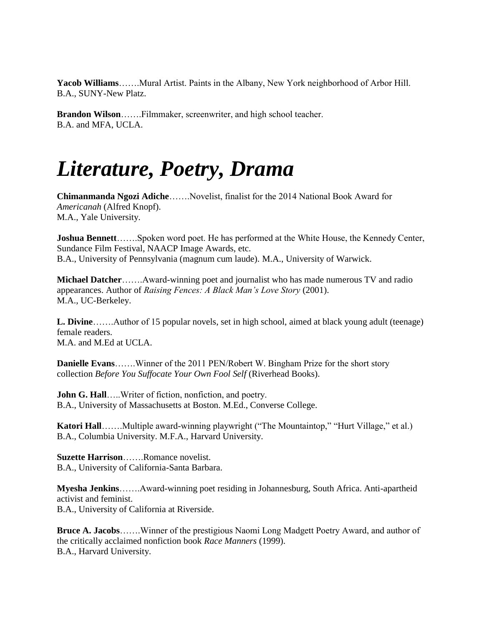**Yacob Williams**…….Mural Artist. Paints in the Albany, New York neighborhood of Arbor Hill. B.A., SUNY-New Platz.

**Brandon Wilson**…….Filmmaker, screenwriter, and high school teacher. B.A. and MFA, UCLA.

## *Literature, Poetry, Drama*

**Chimanmanda Ngozi Adiche**…….Novelist, finalist for the 2014 National Book Award for *Americanah* (Alfred Knopf). M.A., Yale University.

**Joshua Bennett**…….Spoken word poet. He has performed at the White House, the Kennedy Center, Sundance Film Festival, NAACP Image Awards, etc. B.A., University of Pennsylvania (magnum cum laude). M.A., University of Warwick.

**Michael Datcher**…….Award-winning poet and journalist who has made numerous TV and radio appearances. Author of *Raising Fences: A Black Man's Love Story* (2001). M.A., UC-Berkeley.

**L. Divine**…….Author of 15 popular novels, set in high school, aimed at black young adult (teenage) female readers. M.A. and M.Ed at UCLA.

**Danielle Evans**…….Winner of the 2011 PEN/Robert W. Bingham Prize for the short story collection *Before You Suffocate Your Own Fool Self* (Riverhead Books).

**John G. Hall**…..Writer of fiction, nonfiction, and poetry. B.A., University of Massachusetts at Boston. M.Ed., Converse College.

Katori Hall……..Multiple award-winning playwright ("The Mountaintop," "Hurt Village," et al.) B.A., Columbia University. M.F.A., Harvard University.

**Suzette Harrison**…….Romance novelist. B.A., University of California-Santa Barbara.

**Myesha Jenkins**…….Award-winning poet residing in Johannesburg, South Africa. Anti-apartheid activist and feminist. B.A., University of California at Riverside.

**Bruce A. Jacobs**…….Winner of the prestigious Naomi Long Madgett Poetry Award, and author of the critically acclaimed nonfiction book *Race Manners* (1999). B.A., Harvard University.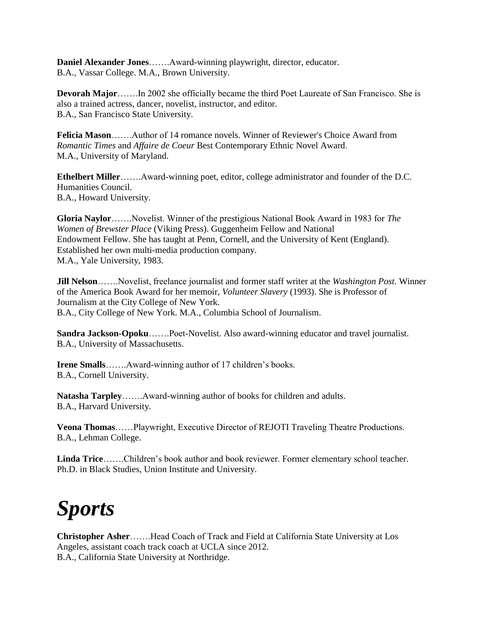**Daniel Alexander Jones**…….Award-winning playwright, director, educator. B.A., Vassar College. M.A., Brown University.

**Devorah Major**…….In 2002 she officially became the third Poet Laureate of San Francisco. She is also a trained actress, dancer, novelist, instructor, and editor. B.A., San Francisco State University.

**Felicia Mason**…….Author of 14 romance novels. Winner of Reviewer's Choice Award from *Romantic Times* and *Affaire de Coeur* Best Contemporary Ethnic Novel Award. M.A., University of Maryland.

**Ethelbert Miller**…….Award-winning poet, editor, college administrator and founder of the D.C. Humanities Council. B.A., Howard University.

**Gloria Naylor**…….Novelist. Winner of the prestigious National Book Award in 1983 for *The Women of Brewster Place* (Viking Press). Guggenheim Fellow and National Endowment Fellow. She has taught at Penn, Cornell, and the University of Kent (England). Established her own multi-media production company. M.A., Yale University, 1983.

**Jill Nelson**…….Novelist, freelance journalist and former staff writer at the *Washington Post*. Winner of the America Book Award for her memoir, *Volunteer Slavery* (1993). She is Professor of Journalism at the City College of New York. B.A., City College of New York. M.A., Columbia School of Journalism.

**Sandra Jackson-Opoku**…….Poet-Novelist. Also award-winning educator and travel journalist. B.A., University of Massachusetts.

**Irene Smalls**…….Award-winning author of 17 children's books. B.A., Cornell University.

**Natasha Tarpley**…….Award-winning author of books for children and adults. B.A., Harvard University.

**Veona Thomas**……Playwright, Executive Director of REJOTI Traveling Theatre Productions. B.A., Lehman College.

**Linda Trice**…….Children's book author and book reviewer. Former elementary school teacher. Ph.D. in Black Studies, Union Institute and University.

# *Sports*

**Christopher Asher**…….Head Coach of Track and Field at California State University at Los Angeles, assistant coach track coach at UCLA since 2012. B.A., California State University at Northridge.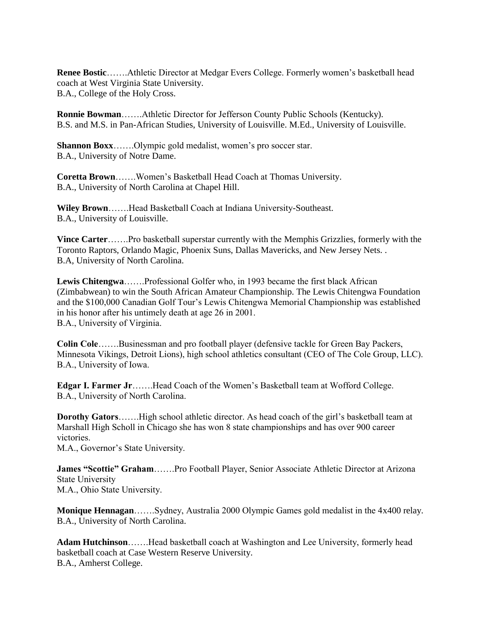**Renee Bostic**…….Athletic Director at Medgar Evers College. Formerly women's basketball head coach at West Virginia State University. B.A., College of the Holy Cross.

**Ronnie Bowman**…….Athletic Director for Jefferson County Public Schools (Kentucky). B.S. and M.S. in Pan-African Studies, University of Louisville. M.Ed., University of Louisville.

**Shannon Boxx**…….Olympic gold medalist, women's pro soccer star. B.A., University of Notre Dame.

**Coretta Brown**…….Women's Basketball Head Coach at Thomas University. B.A., University of North Carolina at Chapel Hill.

**Wiley Brown**…….Head Basketball Coach at Indiana University-Southeast. B.A., University of Louisville.

**Vince Carter**…….Pro basketball superstar currently with the Memphis Grizzlies, formerly with the Toronto Raptors, Orlando Magic, Phoenix Suns, Dallas Mavericks, and New Jersey Nets. . B.A, University of North Carolina.

**Lewis Chitengwa**…….Professional Golfer who, in 1993 became the first black African (Zimbabwean) to win the South African Amateur Championship. The Lewis Chitengwa Foundation and the \$100,000 Canadian Golf Tour's Lewis Chitengwa Memorial Championship was established in his honor after his untimely death at age 26 in 2001. B.A., University of Virginia.

**Colin Cole**…….Businessman and pro football player (defensive tackle for Green Bay Packers, Minnesota Vikings, Detroit Lions), high school athletics consultant (CEO of The Cole Group, LLC). B.A., University of Iowa.

**Edgar I. Farmer Jr**…….Head Coach of the Women's Basketball team at Wofford College. B.A., University of North Carolina.

**Dorothy Gators**…….High school athletic director. As head coach of the girl's basketball team at Marshall High Scholl in Chicago she has won 8 state championships and has over 900 career victories.

M.A., Governor's State University.

**James "Scottie" Graham**…….Pro Football Player, Senior Associate Athletic Director at Arizona State University M.A., Ohio State University.

**Monique Hennagan**…….Sydney, Australia 2000 Olympic Games gold medalist in the 4x400 relay. B.A., University of North Carolina.

**Adam Hutchinson**…….Head basketball coach at Washington and Lee University, formerly head basketball coach at Case Western Reserve University. B.A., Amherst College.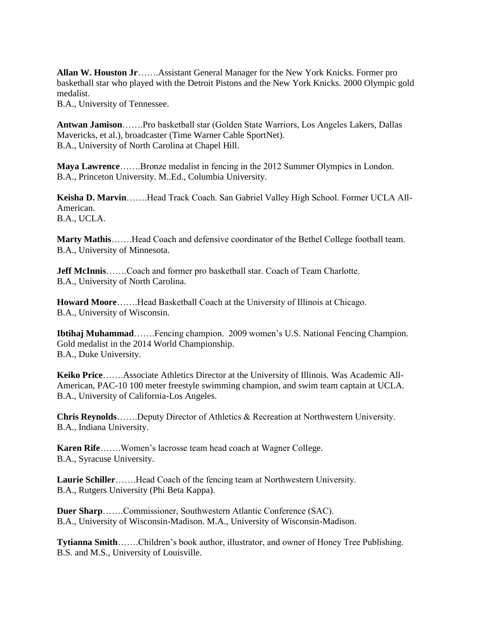**Allan W. Houston Jr**…….Assistant General Manager for the New York Knicks. Former pro basketball star who played with the Detroit Pistons and the New York Knicks. 2000 Olympic gold medalist.

B.A., University of Tennessee.

**Antwan Jamison**…….Pro basketball star (Golden State Warriors, Los Angeles Lakers, Dallas Mavericks, et al.), broadcaster (Time Warner Cable SportNet). B.A., University of North Carolina at Chapel Hill.

**Maya Lawrence**…….Bronze medalist in fencing in the 2012 Summer Olympics in London. B.A., Princeton University. M..Ed., Columbia University.

**Keisha D. Marvin**…….Head Track Coach. San Gabriel Valley High School. Former UCLA All-American. B.A., UCLA.

**Marty Mathis**…….Head Coach and defensive coordinator of the Bethel College football team. B.A., University of Minnesota.

**Jeff McInnis**…….Coach and former pro basketball star. Coach of Team Charlotte. B.A., University of North Carolina.

**Howard Moore**…….Head Basketball Coach at the University of Illinois at Chicago. B.A., University of Wisconsin.

**Ibtihaj Muhammad**…….Fencing champion. 2009 women's U.S. National Fencing Champion. Gold medalist in the 2014 World Championship. B.A., Duke University.

**Keiko Price**…….Associate Athletics Director at the University of Illinois. Was Academic All-American, PAC-10 100 meter freestyle swimming champion, and swim team captain at UCLA. B.A., University of California-Los Angeles.

**Chris Reynolds**…….Deputy Director of Athletics & Recreation at Northwestern University. B.A., Indiana University.

**Karen Rife**…….Women's lacrosse team head coach at Wagner College. B.A., Syracuse University.

**Laurie Schiller**…….Head Coach of the fencing team at Northwestern University. B.A., Rutgers University (Phi Beta Kappa).

**Duer Sharp**…….Commissioner, Southwestern Atlantic Conference (SAC). B.A., University of Wisconsin-Madison. M.A., University of Wisconsin-Madison.

**Tytianna Smith**…….Children's book author, illustrator, and owner of Honey Tree Publishing. B.S. and M.S., University of Louisville.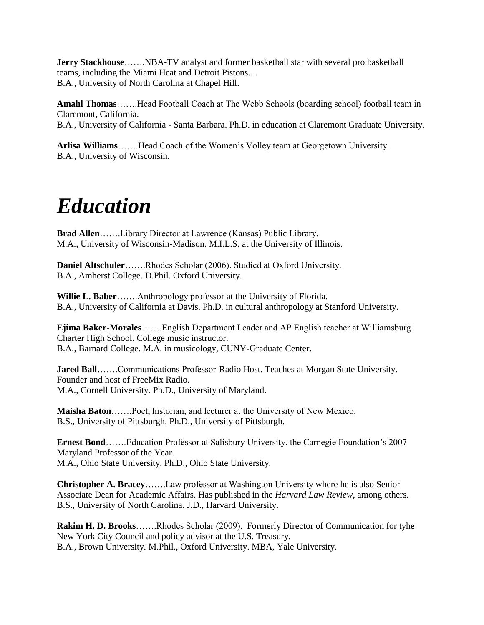**Jerry Stackhouse**…….NBA-TV analyst and former basketball star with several pro basketball teams, including the Miami Heat and Detroit Pistons.. . B.A., University of North Carolina at Chapel Hill.

**Amahl Thomas**…….Head Football Coach at The Webb Schools (boarding school) football team in Claremont, California. B.A., University of California - Santa Barbara. Ph.D. in education at Claremont Graduate University.

**Arlisa Williams**…….Head Coach of the Women's Volley team at Georgetown University. B.A., University of Wisconsin.

# *Education*

**Brad Allen**…….Library Director at Lawrence (Kansas) Public Library. M.A., University of Wisconsin-Madison. M.I.L.S. at the University of Illinois.

**Daniel Altschuler**…….Rhodes Scholar (2006). Studied at Oxford University. B.A., Amherst College. D.Phil. Oxford University.

**Willie L. Baber**…….Anthropology professor at the University of Florida. B.A., University of California at Davis. Ph.D. in cultural anthropology at Stanford University.

**Ejima Baker-Morales**…….English Department Leader and AP English teacher at Williamsburg Charter High School. College music instructor. B.A., Barnard College. M.A. in musicology, CUNY-Graduate Center.

**Jared Ball**…….Communications Professor-Radio Host. Teaches at Morgan State University. Founder and host of FreeMix Radio. M.A., Cornell University. Ph.D., University of Maryland.

**Maisha Baton**…….Poet, historian, and lecturer at the University of New Mexico. B.S., University of Pittsburgh. Ph.D., University of Pittsburgh.

**Ernest Bond**…….Education Professor at Salisbury University, the Carnegie Foundation's 2007 Maryland Professor of the Year. M.A., Ohio State University. Ph.D., Ohio State University.

**Christopher A. Bracey**…….Law professor at Washington University where he is also Senior Associate Dean for Academic Affairs. Has published in the *Harvard Law Review*, among others. B.S., University of North Carolina. J.D., Harvard University.

**Rakim H. D. Brooks**…….Rhodes Scholar (2009). Formerly Director of Communication for tyhe New York City Council and policy advisor at the U.S. Treasury. B.A., Brown University. M.Phil., Oxford University. MBA, Yale University.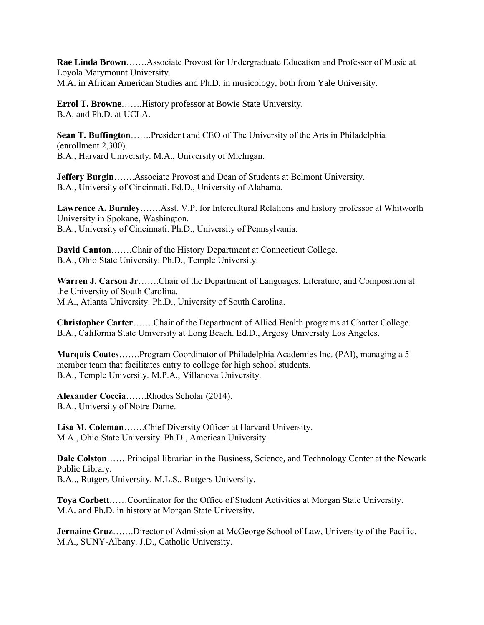**Rae Linda Brown**…….Associate Provost for Undergraduate Education and Professor of Music at Loyola Marymount University. M.A. in African American Studies and Ph.D. in musicology, both from Yale University.

**Errol T. Browne**…….History professor at Bowie State University. B.A. and Ph.D. at UCLA.

**Sean T. Buffington**…….President and CEO of The University of the Arts in Philadelphia (enrollment 2,300). B.A., Harvard University. M.A., University of Michigan.

**Jeffery Burgin**…….Associate Provost and Dean of Students at Belmont University. B.A., University of Cincinnati. Ed.D., University of Alabama.

**Lawrence A. Burnley**…….Asst. V.P. for Intercultural Relations and history professor at Whitworth University in Spokane, Washington. B.A., University of Cincinnati. Ph.D., University of Pennsylvania.

**David Canton**…….Chair of the History Department at Connecticut College. B.A., Ohio State University. Ph.D., Temple University.

**Warren J. Carson Jr**…….Chair of the Department of Languages, Literature, and Composition at the University of South Carolina. M.A., Atlanta University. Ph.D., University of South Carolina.

**Christopher Carter**…….Chair of the Department of Allied Health programs at Charter College. B.A., California State University at Long Beach. Ed.D., Argosy University Los Angeles.

**Marquis Coates**…….Program Coordinator of Philadelphia Academies Inc. (PAI), managing a 5 member team that facilitates entry to college for high school students. B.A., Temple University. M.P.A., Villanova University.

**Alexander Coccia**…….Rhodes Scholar (2014). B.A., University of Notre Dame.

**Lisa M. Coleman**…….Chief Diversity Officer at Harvard University. M.A., Ohio State University. Ph.D., American University.

**Dale Colston**…….Principal librarian in the Business, Science, and Technology Center at the Newark Public Library. B.A.., Rutgers University. M.L.S., Rutgers University.

**Toya Corbett**……Coordinator for the Office of Student Activities at Morgan State University. M.A. and Ph.D. in history at Morgan State University.

**Jernaine Cruz**…….Director of Admission at McGeorge School of Law, University of the Pacific. M.A., SUNY-Albany. J.D., Catholic University.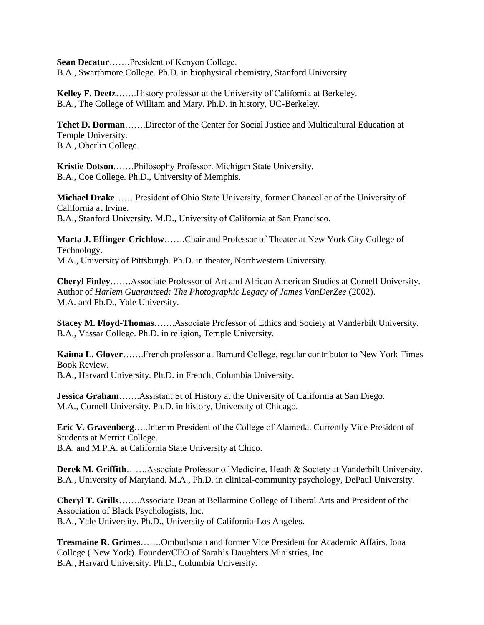**Sean Decatur**…….President of Kenyon College. B.A., Swarthmore College. Ph.D. in biophysical chemistry, Stanford University.

**Kelley F. Deetz**…….History professor at the University of California at Berkeley. B.A., The College of William and Mary. Ph.D. in history, UC-Berkeley.

**Tchet D. Dorman**…….Director of the Center for Social Justice and Multicultural Education at Temple University. B.A., Oberlin College.

**Kristie Dotson**…….Philosophy Professor. Michigan State University. B.A., Coe College. Ph.D., University of Memphis.

**Michael Drake**…….President of Ohio State University, former Chancellor of the University of California at Irvine. B.A., Stanford University. M.D., University of California at San Francisco.

**Marta J. Effinger-Crichlow**…….Chair and Professor of Theater at New York City College of Technology. M.A., University of Pittsburgh. Ph.D. in theater, Northwestern University.

**Cheryl Finley**…….Associate Professor of Art and African American Studies at Cornell University. Author of *Harlem Guaranteed: The Photographic Legacy of James VanDerZee* (2002). M.A. and Ph.D., Yale University.

**Stacey M. Floyd-Thomas**…….Associate Professor of Ethics and Society at Vanderbilt University. B.A., Vassar College. Ph.D. in religion, Temple University.

**Kaima L. Glover**…….French professor at Barnard College, regular contributor to New York Times Book Review.

B.A., Harvard University. Ph.D. in French, Columbia University.

**Jessica Graham**…….Assistant St of History at the University of California at San Diego. M.A., Cornell University. Ph.D. in history, University of Chicago.

**Eric V. Gravenberg**…..Interim President of the College of Alameda. Currently Vice President of Students at Merritt College. B.A. and M.P.A. at California State University at Chico.

**Derek M. Griffith**…….Associate Professor of Medicine, Heath & Society at Vanderbilt University. B.A., University of Maryland. M.A., Ph.D. in clinical-community psychology, DePaul University.

**Cheryl T. Grills**…….Associate Dean at Bellarmine College of Liberal Arts and President of the Association of Black Psychologists, Inc. B.A., Yale University. Ph.D., University of California-Los Angeles.

**Tresmaine R. Grimes**…….Ombudsman and former Vice President for Academic Affairs, Iona College ( New York). Founder/CEO of Sarah's Daughters Ministries, Inc. B.A., Harvard University. Ph.D., Columbia University.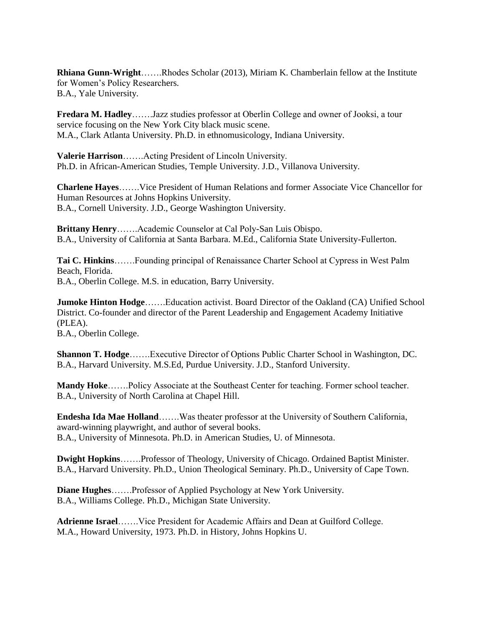**Rhiana Gunn-Wright**…….Rhodes Scholar (2013), Miriam K. Chamberlain fellow at the Institute for Women's Policy Researchers. B.A., Yale University.

**Fredara M. Hadley**…….Jazz studies professor at Oberlin College and owner of Jooksi, a tour service focusing on the New York City black music scene. M.A., Clark Atlanta University. Ph.D. in ethnomusicology, Indiana University.

**Valerie Harrison**…….Acting President of Lincoln University. Ph.D. in African-American Studies, Temple University. J.D., Villanova University.

**Charlene Hayes**…….Vice President of Human Relations and former Associate Vice Chancellor for Human Resources at Johns Hopkins University. B.A., Cornell University. J.D., George Washington University.

**Brittany Henry**…….Academic Counselor at Cal Poly-San Luis Obispo. B.A., University of California at Santa Barbara. M.Ed., California State University-Fullerton.

**Tai C. Hinkins**…….Founding principal of Renaissance Charter School at Cypress in West Palm Beach, Florida. B.A., Oberlin College. M.S. in education, Barry University.

**Jumoke Hinton Hodge**…….Education activist. Board Director of the Oakland (CA) Unified School District. Co-founder and director of the Parent Leadership and Engagement Academy Initiative (PLEA). B.A., Oberlin College.

**Shannon T. Hodge**…….Executive Director of Options Public Charter School in Washington, DC. B.A., Harvard University. M.S.Ed, Purdue University. J.D., Stanford University.

**Mandy Hoke**…….Policy Associate at the Southeast Center for teaching. Former school teacher. B.A., University of North Carolina at Chapel Hill.

**Endesha Ida Mae Holland**…….Was theater professor at the University of Southern California, award-winning playwright, and author of several books. B.A., University of Minnesota. Ph.D. in American Studies, U. of Minnesota.

**Dwight Hopkins**…….Professor of Theology, University of Chicago. Ordained Baptist Minister. B.A., Harvard University. Ph.D., Union Theological Seminary. Ph.D., University of Cape Town.

**Diane Hughes**…….Professor of Applied Psychology at New York University. B.A., Williams College. Ph.D., Michigan State University.

**Adrienne Israel**…….Vice President for Academic Affairs and Dean at Guilford College. M.A., Howard University, 1973. Ph.D. in History, Johns Hopkins U.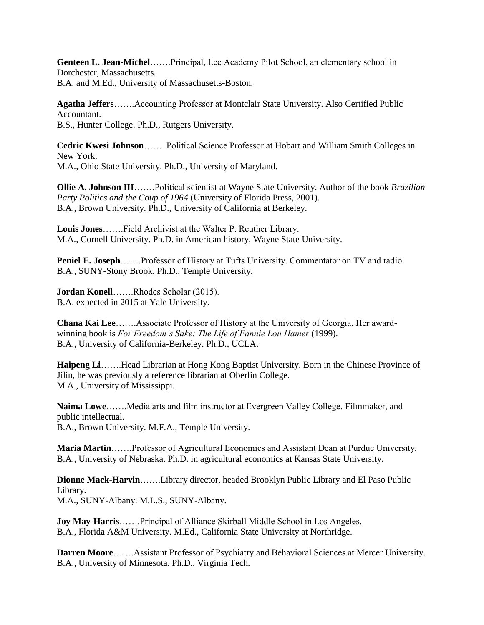**Genteen L. Jean-Michel**…….Principal, Lee Academy Pilot School, an elementary school in Dorchester, Massachusetts. B.A. and M.Ed., University of Massachusetts-Boston.

**Agatha Jeffers**…….Accounting Professor at Montclair State University. Also Certified Public Accountant. B.S., Hunter College. Ph.D., Rutgers University.

**Cedric Kwesi Johnson**……. Political Science Professor at Hobart and William Smith Colleges in New York. M.A., Ohio State University. Ph.D., University of Maryland.

**Ollie A. Johnson III**…….Political scientist at Wayne State University. Author of the book *Brazilian Party Politics and the Coup of 1964* (University of Florida Press, 2001). B.A., Brown University. Ph.D., University of California at Berkeley.

**Louis Jones**…….Field Archivist at the Walter P. Reuther Library. M.A., Cornell University. Ph.D. in American history, Wayne State University.

**Peniel E. Joseph**…….Professor of History at Tufts University. Commentator on TV and radio. B.A., SUNY-Stony Brook. Ph.D., Temple University.

**Jordan Konell**…….Rhodes Scholar (2015). B.A. expected in 2015 at Yale University.

**Chana Kai Lee**…….Associate Professor of History at the University of Georgia. Her awardwinning book is *For Freedom's Sake: The Life of Fannie Lou Hamer* (1999). B.A., University of California-Berkeley. Ph.D., UCLA.

**Haipeng Li**…….Head Librarian at Hong Kong Baptist University. Born in the Chinese Province of Jilin, he was previously a reference librarian at Oberlin College. M.A., University of Mississippi.

**Naima Lowe**…….Media arts and film instructor at Evergreen Valley College. Filmmaker, and public intellectual. B.A., Brown University. M.F.A., Temple University.

**Maria Martin**…….Professor of Agricultural Economics and Assistant Dean at Purdue University. B.A., University of Nebraska. Ph.D. in agricultural economics at Kansas State University.

**Dionne Mack-Harvin**…….Library director, headed Brooklyn Public Library and El Paso Public Library. M.A., SUNY-Albany. M.L.S., SUNY-Albany.

**Joy May-Harris**…….Principal of Alliance Skirball Middle School in Los Angeles. B.A., Florida A&M University. M.Ed., California State University at Northridge.

**Darren Moore**…….Assistant Professor of Psychiatry and Behavioral Sciences at Mercer University. B.A., University of Minnesota. Ph.D., Virginia Tech.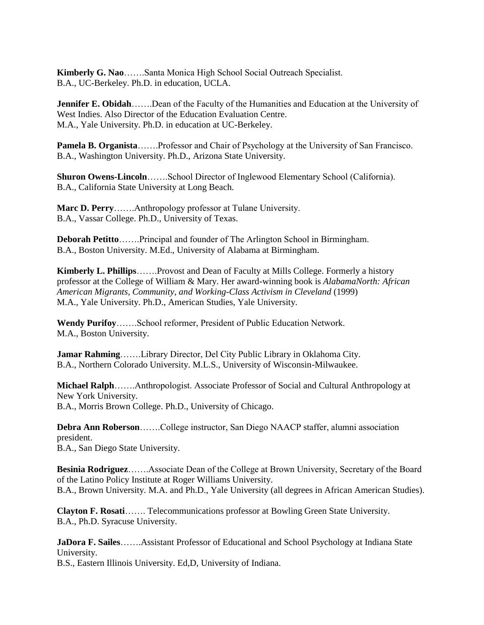**Kimberly G. Nao**…….Santa Monica High School Social Outreach Specialist. B.A., UC-Berkeley. Ph.D. in education, UCLA.

**Jennifer E. Obidah**…….Dean of the Faculty of the Humanities and Education at the University of West Indies. Also Director of the Education Evaluation Centre. M.A., Yale University. Ph.D. in education at UC-Berkeley.

**Pamela B. Organista**…….Professor and Chair of Psychology at the University of San Francisco. B.A., Washington University. Ph.D., Arizona State University.

**Shuron Owens-Lincoln**…….School Director of Inglewood Elementary School (California). B.A., California State University at Long Beach.

**Marc D. Perry**…….Anthropology professor at Tulane University. B.A., Vassar College. Ph.D., University of Texas.

**Deborah Petitto**…….Principal and founder of The Arlington School in Birmingham. B.A., Boston University. M.Ed., University of Alabama at Birmingham.

**Kimberly L. Phillips**…….Provost and Dean of Faculty at Mills College. Formerly a history professor at the College of William & Mary. Her award-winning book is *AlabamaNorth: African American Migrants, Community, and Working-Class Activism in Cleveland* (1999) M.A., Yale University. Ph.D., American Studies, Yale University.

**Wendy Purifoy**…….School reformer, President of Public Education Network. M.A., Boston University.

**Jamar Rahming**…….Library Director, Del City Public Library in Oklahoma City. B.A., Northern Colorado University. M.L.S., University of Wisconsin-Milwaukee.

**Michael Ralph**…….Anthropologist. Associate Professor of Social and Cultural Anthropology at New York University. B.A., Morris Brown College. Ph.D., University of Chicago.

**Debra Ann Roberson**…….College instructor, San Diego NAACP staffer, alumni association president. B.A., San Diego State University.

**Besinia Rodriguez**…….Associate Dean of the College at Brown University, Secretary of the Board of the Latino Policy Institute at Roger Williams University. B.A., Brown University. M.A. and Ph.D., Yale University (all degrees in African American Studies).

**Clayton F. Rosati**……. Telecommunications professor at Bowling Green State University. B.A., Ph.D. Syracuse University.

**JaDora F. Sailes**…….Assistant Professor of Educational and School Psychology at Indiana State University.

B.S., Eastern Illinois University. Ed,D, University of Indiana.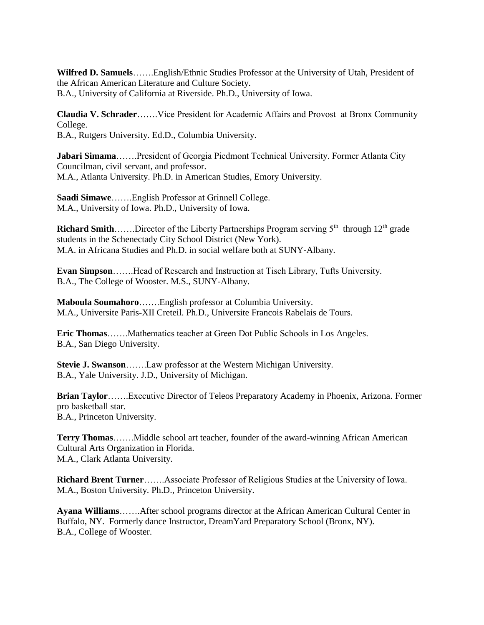**Wilfred D. Samuels**…….English/Ethnic Studies Professor at the University of Utah, President of the African American Literature and Culture Society. B.A., University of California at Riverside. Ph.D., University of Iowa.

**Claudia V. Schrader**…….Vice President for Academic Affairs and Provost at Bronx Community College. B.A., Rutgers University. Ed.D., Columbia University.

**Jabari Simama**…….President of Georgia Piedmont Technical University. Former Atlanta City Councilman, civil servant, and professor. M.A., Atlanta University. Ph.D. in American Studies, Emory University.

**Saadi Simawe**…….English Professor at Grinnell College. M.A., University of Iowa. Ph.D., University of Iowa.

Richard Smith......Director of the Liberty Partnerships Program serving 5<sup>th</sup> through 12<sup>th</sup> grade students in the Schenectady City School District (New York). M.A. in Africana Studies and Ph.D. in social welfare both at SUNY-Albany.

**Evan Simpson**…….Head of Research and Instruction at Tisch Library, Tufts University. B.A., The College of Wooster. M.S., SUNY-Albany.

**Maboula Soumahoro**…….English professor at Columbia University. M.A., Universite Paris-XII Creteil. Ph.D., Universite Francois Rabelais de Tours.

**Eric Thomas**…….Mathematics teacher at Green Dot Public Schools in Los Angeles. B.A., San Diego University.

**Stevie J. Swanson**…….Law professor at the Western Michigan University. B.A., Yale University. J.D., University of Michigan.

**Brian Taylor**…….Executive Director of Teleos Preparatory Academy in Phoenix, Arizona. Former pro basketball star. B.A., Princeton University.

**Terry Thomas**…….Middle school art teacher, founder of the award-winning African American Cultural Arts Organization in Florida. M.A., Clark Atlanta University.

**Richard Brent Turner**…….Associate Professor of Religious Studies at the University of Iowa. M.A., Boston University. Ph.D., Princeton University.

**Ayana Williams**…….After school programs director at the African American Cultural Center in Buffalo, NY. Formerly dance Instructor, DreamYard Preparatory School (Bronx, NY). B.A., College of Wooster.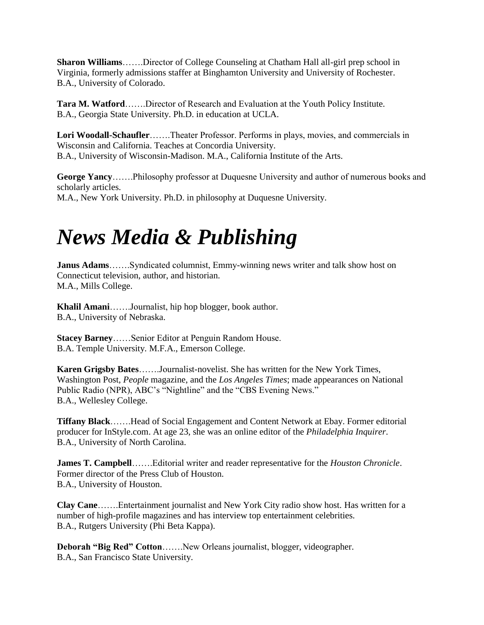**Sharon Williams**…….Director of College Counseling at Chatham Hall all-girl prep school in Virginia, formerly admissions staffer at Binghamton University and University of Rochester. B.A., University of Colorado.

**Tara M. Watford**…….Director of Research and Evaluation at the Youth Policy Institute. B.A., Georgia State University. Ph.D. in education at UCLA.

**Lori Woodall-Schaufler**…….Theater Professor. Performs in plays, movies, and commercials in Wisconsin and California. Teaches at Concordia University. B.A., University of Wisconsin-Madison. M.A., California Institute of the Arts.

**George Yancy**…….Philosophy professor at Duquesne University and author of numerous books and scholarly articles. M.A., New York University. Ph.D. in philosophy at Duquesne University.

## *News Media & Publishing*

**Janus Adams**…….Syndicated columnist, Emmy-winning news writer and talk show host on Connecticut television, author, and historian. M.A., Mills College.

**Khalil Amani**…….Journalist, hip hop blogger, book author. B.A., University of Nebraska.

**Stacey Barney**……Senior Editor at Penguin Random House. B.A. Temple University. M.F.A., Emerson College.

**Karen Grigsby Bates**…….Journalist-novelist. She has written for the New York Times, Washington Post, *People* magazine, and the *Los Angeles Times*; made appearances on National Public Radio (NPR), ABC's "Nightline" and the "CBS Evening News." B.A., Wellesley College.

**Tiffany Black**…….Head of Social Engagement and Content Network at Ebay. Former editorial producer for InStyle.com. At age 23, she was an online editor of the *Philadelphia Inquirer*. B.A., University of North Carolina.

**James T. Campbell**…….Editorial writer and reader representative for the *Houston Chronicle*. Former director of the Press Club of Houston. B.A., University of Houston.

**Clay Cane**…….Entertainment journalist and New York City radio show host. Has written for a number of high-profile magazines and has interview top entertainment celebrities. B.A., Rutgers University (Phi Beta Kappa).

**Deborah "Big Red" Cotton**…….New Orleans journalist, blogger, videographer. B.A., San Francisco State University.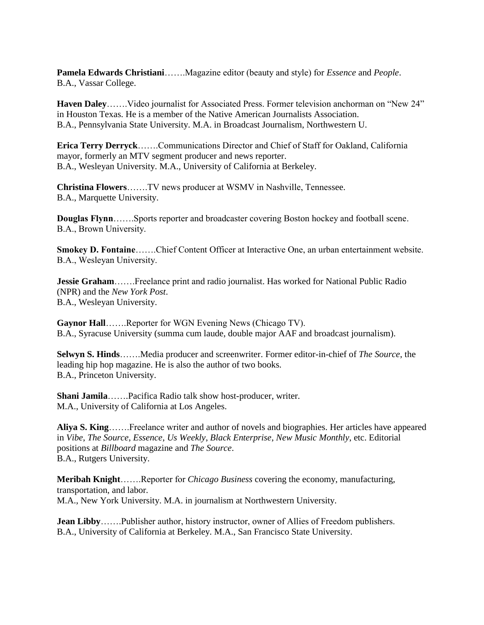**Pamela Edwards Christiani**…….Magazine editor (beauty and style) for *Essence* and *People*. B.A., Vassar College.

**Haven Daley**…….Video journalist for Associated Press. Former television anchorman on "New 24" in Houston Texas. He is a member of the Native American Journalists Association. B.A., Pennsylvania State University. M.A. in Broadcast Journalism, Northwestern U.

**Erica Terry Derryck**…….Communications Director and Chief of Staff for Oakland, California mayor, formerly an MTV segment producer and news reporter. B.A., Wesleyan University. M.A., University of California at Berkeley.

**Christina Flowers**…….TV news producer at WSMV in Nashville, Tennessee. B.A., Marquette University.

**Douglas Flynn**…….Sports reporter and broadcaster covering Boston hockey and football scene. B.A., Brown University.

**Smokey D. Fontaine**…….Chief Content Officer at Interactive One, an urban entertainment website. B.A., Wesleyan University.

**Jessie Graham**…….Freelance print and radio journalist. Has worked for National Public Radio (NPR) and the *New York Post*. B.A., Wesleyan University.

**Gaynor Hall**…….Reporter for WGN Evening News (Chicago TV). B.A., Syracuse University (summa cum laude, double major AAF and broadcast journalism).

**Selwyn S. Hinds**…….Media producer and screenwriter. Former editor-in-chief of *The Source*, the leading hip hop magazine. He is also the author of two books. B.A., Princeton University.

**Shani Jamila**…….Pacifica Radio talk show host-producer, writer. M.A., University of California at Los Angeles.

**Aliya S. King**…….Freelance writer and author of novels and biographies. Her articles have appeared in *Vibe*, *The Source*, *Essence*, *Us Weekly*, *Black Enterprise*, *New Music Monthly*, etc. Editorial positions at *Billboard* magazine and *The Source*. B.A., Rutgers University.

**Meribah Knight**…….Reporter for *Chicago Business* covering the economy, manufacturing, transportation, and labor. M.A., New York University. M.A. in journalism at Northwestern University.

**Jean Libby**……..Publisher author, history instructor, owner of Allies of Freedom publishers. B.A., University of California at Berkeley. M.A., San Francisco State University.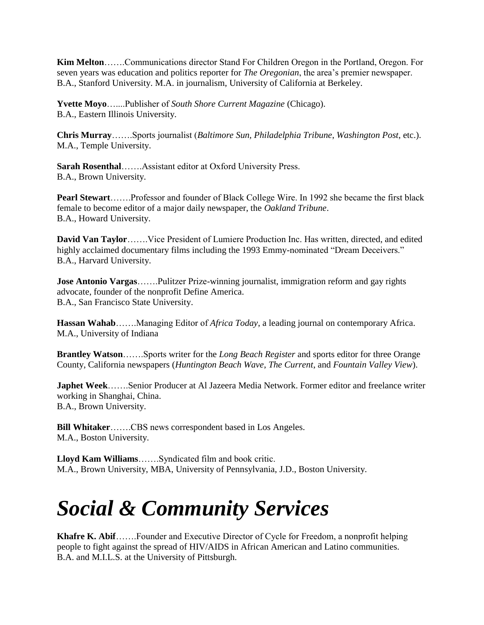**Kim Melton**…….Communications director Stand For Children Oregon in the Portland, Oregon. For seven years was education and politics reporter for *The Oregonian*, the area's premier newspaper. B.A., Stanford University. M.A. in journalism, University of California at Berkeley.

**Yvette Moyo**…....Publisher of *South Shore Current Magazine* (Chicago). B.A., Eastern Illinois University.

**Chris Murray**…….Sports journalist (*Baltimore Sun, Philadelphia Tribune*, *Washington Post*, etc.). M.A., Temple University.

**Sarah Rosenthal**…….Assistant editor at Oxford University Press. B.A., Brown University.

**Pearl Stewart**…….Professor and founder of Black College Wire. In 1992 she became the first black female to become editor of a major daily newspaper, the *Oakland Tribune*. B.A., Howard University.

**David Van Taylor**…….Vice President of Lumiere Production Inc. Has written, directed, and edited highly acclaimed documentary films including the 1993 Emmy-nominated "Dream Deceivers." B.A., Harvard University.

**Jose Antonio Vargas**…….Pulitzer Prize-winning journalist, immigration reform and gay rights advocate, founder of the nonprofit Define America. B.A., San Francisco State University.

**Hassan Wahab**…….Managing Editor of *Africa Today*, a leading journal on contemporary Africa. M.A., University of Indiana

**Brantley Watson**…….Sports writer for the *Long Beach Register* and sports editor for three Orange County, California newspapers (*Huntington Beach Wave*, *The Current*, and *Fountain Valley View*).

**Japhet Week**…….Senior Producer at Al Jazeera Media Network. Former editor and freelance writer working in Shanghai, China. B.A., Brown University.

**Bill Whitaker**…….CBS news correspondent based in Los Angeles. M.A., Boston University.

**Lloyd Kam Williams**…….Syndicated film and book critic. M.A., Brown University, MBA, University of Pennsylvania, J.D., Boston University.

# *Social & Community Services*

**Khafre K. Abif**…….Founder and Executive Director of Cycle for Freedom, a nonprofit helping people to fight against the spread of HIV/AIDS in African American and Latino communities. B.A. and M.I.L.S. at the University of Pittsburgh.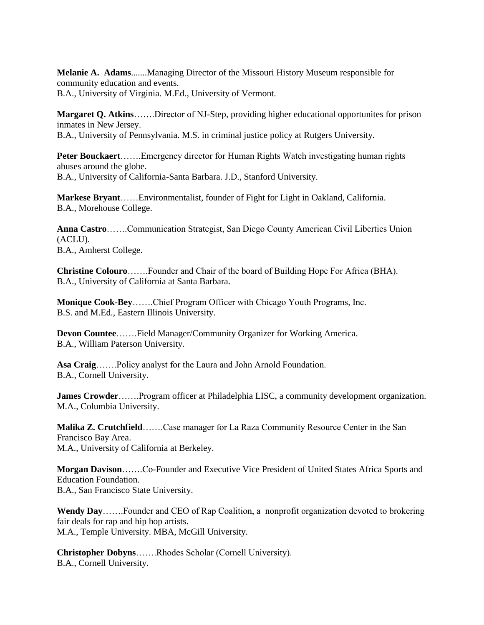**Melanie A. Adams**.......Managing Director of the Missouri History Museum responsible for community education and events. B.A., University of Virginia. M.Ed., University of Vermont.

**Margaret Q. Atkins**…….Director of NJ-Step, providing higher educational opportunites for prison inmates in New Jersey. B.A., University of Pennsylvania. M.S. in criminal justice policy at Rutgers University.

**Peter Bouckaert**…….Emergency director for Human Rights Watch investigating human rights abuses around the globe. B.A., University of California-Santa Barbara. J.D., Stanford University.

**Markese Bryant**……Environmentalist, founder of Fight for Light in Oakland, California. B.A., Morehouse College.

**Anna Castro**…….Communication Strategist, San Diego County American Civil Liberties Union (ACLU). B.A., Amherst College.

**Christine Colouro**…….Founder and Chair of the board of Building Hope For Africa (BHA). B.A., University of California at Santa Barbara.

**Monique Cook-Bey**…….Chief Program Officer with Chicago Youth Programs, Inc. B.S. and M.Ed., Eastern Illinois University.

**Devon Countee**…….Field Manager/Community Organizer for Working America. B.A., William Paterson University.

**Asa Craig**…….Policy analyst for the Laura and John Arnold Foundation. B.A., Cornell University.

**James Crowder…….**Program officer at Philadelphia LISC, a community development organization. M.A., Columbia University.

**Malika Z. Crutchfield…….**Case manager for La Raza Community Resource Center in the San Francisco Bay Area. M.A., University of California at Berkeley.

**Morgan Davison**…….Co-Founder and Executive Vice President of United States Africa Sports and Education Foundation. B.A., San Francisco State University.

**Wendy Day**…….Founder and CEO of Rap Coalition, a nonprofit organization devoted to brokering fair deals for rap and hip hop artists. M.A., Temple University. MBA, McGill University.

**Christopher Dobyns**…….Rhodes Scholar (Cornell University). B.A., Cornell University.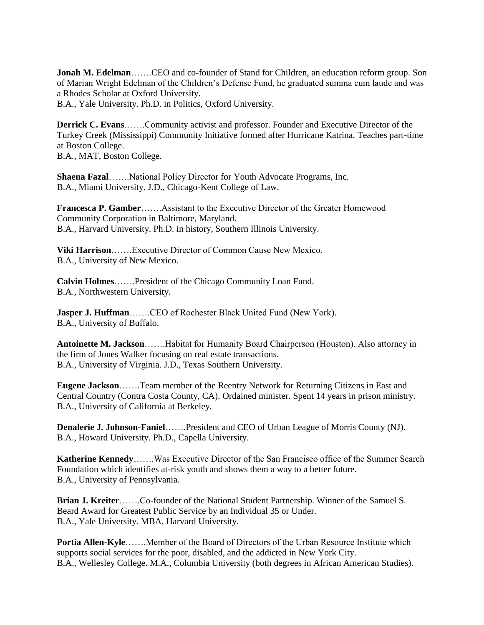**Jonah M. Edelman**……..CEO and co-founder of Stand for Children, an education reform group. Son of Marian Wright Edelman of the Children's Defense Fund, he graduated summa cum laude and was a Rhodes Scholar at Oxford University.

B.A., Yale University. Ph.D. in Politics, Oxford University.

**Derrick C. Evans**…….Community activist and professor. Founder and Executive Director of the Turkey Creek (Mississippi) Community Initiative formed after Hurricane Katrina. Teaches part-time at Boston College.

B.A., MAT, Boston College.

**Shaena Fazal**…….National Policy Director for Youth Advocate Programs, Inc. B.A., Miami University. J.D., Chicago-Kent College of Law.

**Francesca P. Gamber**…….Assistant to the Executive Director of the Greater Homewood Community Corporation in Baltimore, Maryland. B.A., Harvard University. Ph.D. in history, Southern Illinois University.

**Viki Harrison**…….Executive Director of Common Cause New Mexico. B.A., University of New Mexico.

**Calvin Holmes**…….President of the Chicago Community Loan Fund. B.A., Northwestern University.

**Jasper J. Huffman**…….CEO of Rochester Black United Fund (New York). B.A., University of Buffalo.

**Antoinette M. Jackson**…….Habitat for Humanity Board Chairperson (Houston). Also attorney in the firm of Jones Walker focusing on real estate transactions. B.A., University of Virginia. J.D., Texas Southern University.

**Eugene Jackson**…….Team member of the Reentry Network for Returning Citizens in East and Central Country (Contra Costa County, CA). Ordained minister. Spent 14 years in prison ministry. B.A., University of California at Berkeley.

**Denalerie J. Johnson-Faniel**…….President and CEO of Urban League of Morris County (NJ). B.A., Howard University. Ph.D., Capella University.

**Katherine Kennedy**…….Was Executive Director of the San Francisco office of the Summer Search Foundation which identifies at-risk youth and shows them a way to a better future. B.A., University of Pennsylvania.

**Brian J. Kreiter**…….Co-founder of the National Student Partnership. Winner of the Samuel S. Beard Award for Greatest Public Service by an Individual 35 or Under. B.A., Yale University. MBA, Harvard University.

**Portia Allen-Kyle**…….Member of the Board of Directors of the Urban Resource Institute which supports social services for the poor, disabled, and the addicted in New York City. B.A., Wellesley College. M.A., Columbia University (both degrees in African American Studies).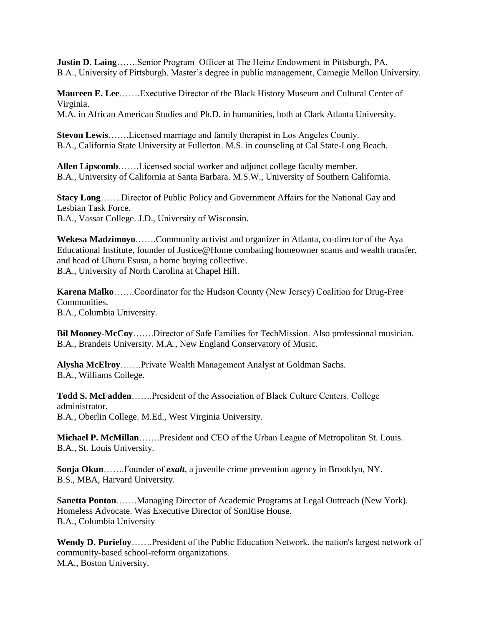**Justin D. Laing**…….Senior Program Officer at The Heinz Endowment in Pittsburgh, PA. B.A., University of Pittsburgh. Master's degree in public management, Carnegie Mellon University.

**Maureen E. Lee**…….Executive Director of the Black History Museum and Cultural Center of Virginia. M.A. in African American Studies and Ph.D. in humanities, both at Clark Atlanta University.

**Stevon Lewis**…….Licensed marriage and family therapist in Los Angeles County. B.A., California State University at Fullerton. M.S. in counseling at Cal State-Long Beach.

**Allen Lipscomb**…….Licensed social worker and adjunct college faculty member. B.A., University of California at Santa Barbara. M.S.W., University of Southern California.

**Stacy Long**…….Director of Public Policy and Government Affairs for the National Gay and Lesbian Task Force. B.A., Vassar College. J.D., University of Wisconsin.

**Wekesa Madzimoyo**…….Community activist and organizer in Atlanta, co-director of the Aya Educational Institute, founder of Justice@Home combating homeowner scams and wealth transfer, and head of Uhuru Esusu, a home buying collective. B.A., University of North Carolina at Chapel Hill.

**Karena Malko**…….Coordinator for the Hudson County (New Jersey) Coalition for Drug-Free Communities. B.A., Columbia University.

**Bil Mooney-McCoy**…….Director of Safe Families for TechMission. Also professional musician. B.A., Brandeis University. M.A., New England Conservatory of Music.

**Alysha McElroy**…….Private Wealth Management Analyst at Goldman Sachs. B.A., Williams College.

**Todd S. McFadden**…….President of the Association of Black Culture Centers. College administrator. B.A., Oberlin College. M.Ed., West Virginia University.

**Michael P. McMillan**…….President and CEO of the Urban League of Metropolitan St. Louis. B.A., St. Louis University.

**Sonja Okun**…….Founder of *exalt*, a juvenile crime prevention agency in Brooklyn, NY. B.S., MBA, Harvard University.

**Sanetta Ponton**…….Managing Director of Academic Programs at Legal Outreach (New York). Homeless Advocate. Was Executive Director of SonRise House. B.A., Columbia University

**Wendy D. Puriefoy**…….President of the Public Education Network, the nation's largest network of community-based school-reform organizations. M.A., Boston University.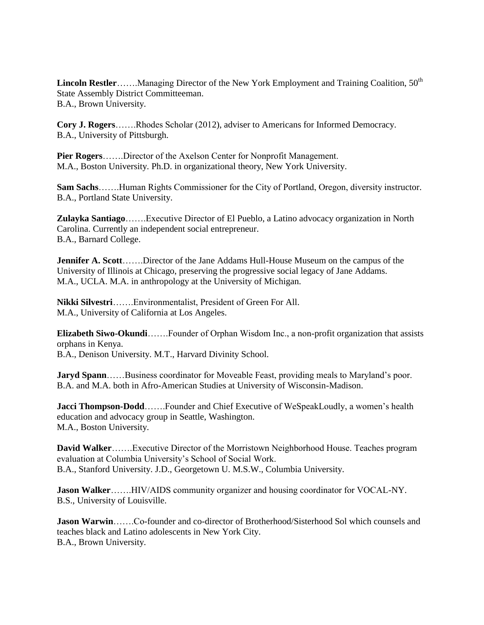**Lincoln Restler**…….Managing Director of the New York Employment and Training Coalition, 50<sup>th</sup> State Assembly District Committeeman. B.A., Brown University.

**Cory J. Rogers**…….Rhodes Scholar (2012), adviser to Americans for Informed Democracy. B.A., University of Pittsburgh.

**Pier Rogers**…….Director of the Axelson Center for Nonprofit Management. M.A., Boston University. Ph.D. in organizational theory, New York University.

**Sam Sachs**…….Human Rights Commissioner for the City of Portland, Oregon, diversity instructor. B.A., Portland State University.

**Zulayka Santiago**…….Executive Director of El Pueblo, a Latino advocacy organization in North Carolina. Currently an independent social entrepreneur. B.A., Barnard College.

**Jennifer A. Scott**…….Director of the Jane Addams Hull-House Museum on the campus of the University of Illinois at Chicago, preserving the progressive social legacy of Jane Addams. M.A., UCLA. M.A. in anthropology at the University of Michigan.

**Nikki Silvestri**…….Environmentalist, President of Green For All. M.A., University of California at Los Angeles.

**Elizabeth Siwo-Okundi**…….Founder of Orphan Wisdom Inc., a non-profit organization that assists orphans in Kenya. B.A., Denison University. M.T., Harvard Divinity School.

**Jaryd Spann**……Business coordinator for Moveable Feast, providing meals to Maryland's poor. B.A. and M.A. both in Afro-American Studies at University of Wisconsin-Madison.

**Jacci Thompson-Dodd**…….Founder and Chief Executive of WeSpeakLoudly, a women's health education and advocacy group in Seattle, Washington. M.A., Boston University.

**David Walker**…….Executive Director of the Morristown Neighborhood House. Teaches program evaluation at Columbia University's School of Social Work. B.A., Stanford University. J.D., Georgetown U. M.S.W., Columbia University.

**Jason Walker**…….HIV/AIDS community organizer and housing coordinator for VOCAL-NY. B.S., University of Louisville.

**Jason Warwin**…….Co-founder and co-director of Brotherhood/Sisterhood Sol which counsels and teaches black and Latino adolescents in New York City. B.A., Brown University.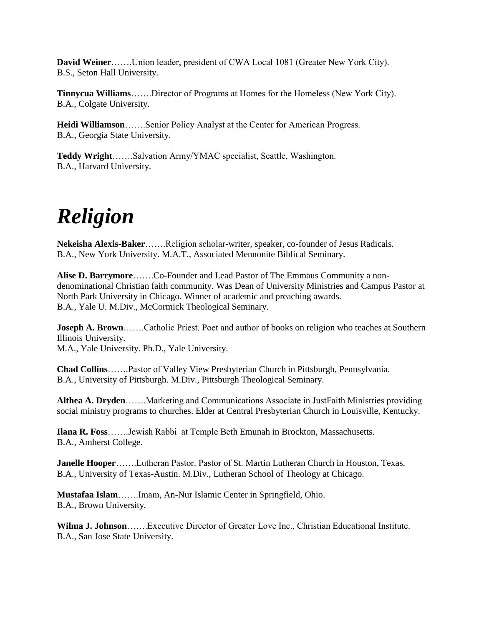**David Weiner**…….Union leader, president of CWA Local 1081 (Greater New York City). B.S., Seton Hall University.

**Tinnycua Williams**…….Director of Programs at Homes for the Homeless (New York City). B.A., Colgate University.

**Heidi Williamson**…….Senior Policy Analyst at the Center for American Progress. B.A., Georgia State University.

**Teddy Wright**…….Salvation Army/YMAC specialist, Seattle, Washington. B.A., Harvard University.

# *Religion*

**Nekeisha Alexis-Baker**…….Religion scholar-writer, speaker, co-founder of Jesus Radicals. B.A., New York University. M.A.T., Associated Mennonite Biblical Seminary.

**Alise D. Barrymore**…….Co-Founder and Lead Pastor of The Emmaus Community a nondenominational Christian faith community. Was Dean of University Ministries and Campus Pastor at North Park University in Chicago. Winner of academic and preaching awards. B.A., Yale U. M.Div., McCormick Theological Seminary.

**Joseph A. Brown**…….Catholic Priest. Poet and author of books on religion who teaches at Southern Illinois University.

M.A., Yale University. Ph.D., Yale University.

**Chad Collins**…….Pastor of Valley View Presbyterian Church in Pittsburgh, Pennsylvania. B.A., University of Pittsburgh. M.Div., Pittsburgh Theological Seminary.

**Althea A. Dryden**…….Marketing and Communications Associate in JustFaith Ministries providing social ministry programs to churches. Elder at Central Presbyterian Church in Louisville, Kentucky.

**Ilana R. Foss**…….Jewish Rabbi at Temple Beth Emunah in Brockton, Massachusetts. B.A., Amherst College.

**Janelle Hooper**…….Lutheran Pastor. Pastor of St. Martin Lutheran Church in Houston, Texas. B.A., University of Texas-Austin. M.Div., Lutheran School of Theology at Chicago.

**Mustafaa Islam**…….Imam, An-Nur Islamic Center in Springfield, Ohio. B.A., Brown University.

**Wilma J. Johnson**…….Executive Director of Greater Love Inc., Christian Educational Institute. B.A., San Jose State University.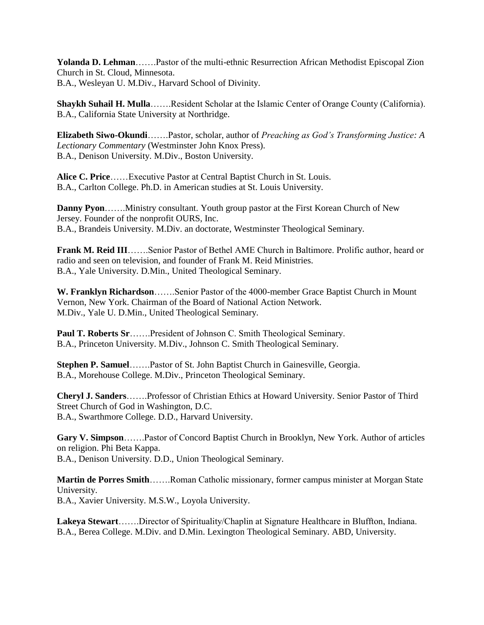**Yolanda D. Lehman**…….Pastor of the multi-ethnic Resurrection African Methodist Episcopal Zion Church in St. Cloud, Minnesota. B.A., Wesleyan U. M.Div., Harvard School of Divinity.

**Shaykh Suhail H. Mulla**…….Resident Scholar at the Islamic Center of Orange County (California). B.A., California State University at Northridge.

**Elizabeth Siwo-Okundi**…….Pastor, scholar, author of *Preaching as God's Transforming Justice: A Lectionary Commentary* (Westminster John Knox Press). B.A., Denison University. M.Div., Boston University.

**Alice C. Price**……Executive Pastor at Central Baptist Church in St. Louis. B.A., Carlton College. Ph.D. in American studies at St. Louis University.

**Danny Pyon**…….Ministry consultant. Youth group pastor at the First Korean Church of New Jersey. Founder of the nonprofit OURS, Inc. B.A., Brandeis University. M.Div. an doctorate, Westminster Theological Seminary.

**Frank M. Reid III**…….Senior Pastor of Bethel AME Church in Baltimore. Prolific author, heard or radio and seen on television, and founder of Frank M. Reid Ministries. B.A., Yale University. D.Min., United Theological Seminary.

**W. Franklyn Richardson**…….Senior Pastor of the 4000-member Grace Baptist Church in Mount Vernon, New York. Chairman of the Board of National Action Network. M.Div., Yale U. D.Min., United Theological Seminary.

**Paul T. Roberts Sr**…….President of Johnson C. Smith Theological Seminary. B.A., Princeton University. M.Div., Johnson C. Smith Theological Seminary.

**Stephen P. Samuel**…….Pastor of St. John Baptist Church in Gainesville, Georgia. B.A., Morehouse College. M.Div., Princeton Theological Seminary.

**Cheryl J. Sanders**…….Professor of Christian Ethics at Howard University. Senior Pastor of Third Street Church of God in Washington, D.C. B.A., Swarthmore College. D.D., Harvard University.

**Gary V. Simpson**…….Pastor of Concord Baptist Church in Brooklyn, New York. Author of articles on religion. Phi Beta Kappa. B.A., Denison University. D.D., Union Theological Seminary.

**Martin de Porres Smith**…….Roman Catholic missionary, former campus minister at Morgan State University.

B.A., Xavier University. M.S.W., Loyola University.

**Lakeya Stewart**…….Director of Spirituality/Chaplin at Signature Healthcare in Bluffton, Indiana. B.A., Berea College. M.Div. and D.Min. Lexington Theological Seminary. ABD, University.